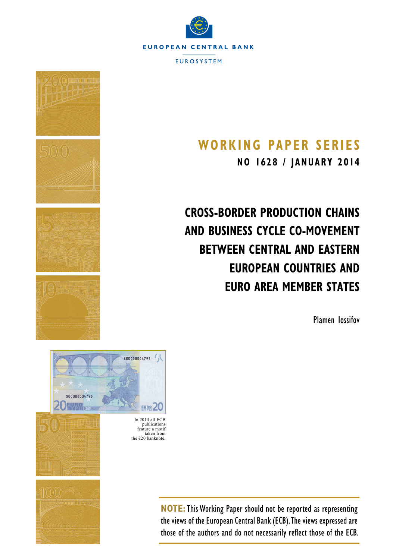



# **Working Paper SerieS**

**NO 1628 / january 2014**

**Cross-Border Production Chains and Business Cycle Co-Movement between Central and Eastern European Countries and Euro Area Member States**

Plamen Iossifov



**NOTE:**This Working Paper should not be reported as representing the views of the European Central Bank (ECB). The views expressed are those of the authors and do not necessarily reflect those of the ECB.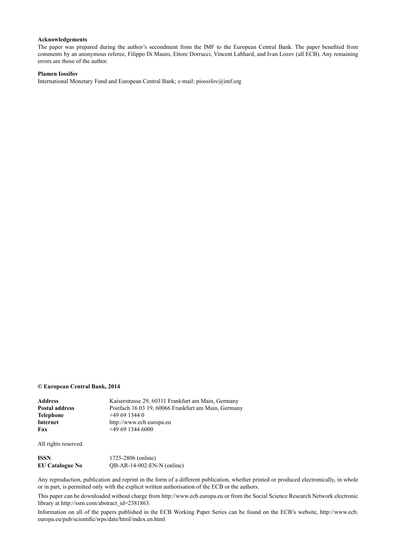#### **Acknowledgements**

The paper was prepared during the author's secondment from the IMF to the European Central Bank. The paper benefited from comments by an anonymous referee, Filippo Di Mauro, Ettore Dorrucci, Vincent Labhard, and Ivan Lozev (all ECB). Any remaining errors are those of the author.

#### **Plamen Iossifov**

[International Monetary Fund](http://www.imf.org/external/index.htm) and [European Central Bank;](http://www.ecb.europa.eu/home/html/index.en.html) e-mail: [piossifov@imf.org](mailto:piossifov%40imf.org?subject=)

#### **© European Central Bank, 2014**

| Address        | Kaiserstrasse 29, 60311 Frankfurt am Main, Germany  |
|----------------|-----------------------------------------------------|
| Postal address | Postfach 16 03 19, 60066 Frankfurt am Main, Germany |
| Telephone      | $+496913440$                                        |
| Internet       | http://www.ecb.europa.eu                            |
| Fax            | $+496913446000$                                     |
|                |                                                     |

All rights reserved.

| ISSN            | 1725-2806 (online)           |
|-----------------|------------------------------|
| EU Catalogue No | $QB-AR-14-002-EN-N$ (online) |

Any reproduction, publication and reprint in the form of a different publication, whether printed or produced electronically, in whole or in part, is permitted only with the explicit written authorisation of the ECB or the authors.

This paper can be downloaded without charge from http://www.ecb.europa.eu or from the Social Science Research Network electronic library at http://ssrn.com/abstract\_id=2381863.

Information on all of the papers published in the ECB Working Paper Series can be found on the ECB's website, [http://www.ecb.](http://www.ecb.europa.eu/pub/scientific/wps/date/html/index.en.html) [europa.eu/pub/scientific/wps/date/html/index.en.html](http://www.ecb.europa.eu/pub/scientific/wps/date/html/index.en.html)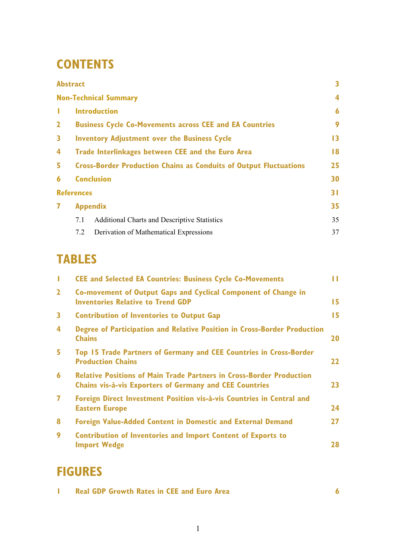# **CONTENTS**

|              | <b>Abstract</b>   |                                                                          | 3               |
|--------------|-------------------|--------------------------------------------------------------------------|-----------------|
|              |                   | <b>Non-Technical Summary</b>                                             | 4               |
| т.           |                   | <b>Introduction</b>                                                      | 6               |
| $\mathbf{2}$ |                   | <b>Business Cycle Co-Movements across CEE and EA Countries</b>           | 9               |
| 3            |                   | <b>Inventory Adjustment over the Business Cycle</b>                      | $\overline{13}$ |
| 4            |                   | Trade Interlinkages between CEE and the Euro Area                        | $\overline{8}$  |
| 5.           |                   | <b>Cross-Border Production Chains as Conduits of Output Fluctuations</b> | 25              |
| 6            |                   | <b>Conclusion</b>                                                        | 30              |
|              | <b>References</b> |                                                                          | 31              |
| 7            |                   | <b>Appendix</b>                                                          | 35              |
|              | 7.1               | <b>Additional Charts and Descriptive Statistics</b>                      | 35              |
|              | 7.2               | Derivation of Mathematical Expressions                                   | 37              |

# **TABLES**

| T                       | <b>CEE and Selected EA Countries: Business Cycle Co-Movements</b>                                                                             | П         |
|-------------------------|-----------------------------------------------------------------------------------------------------------------------------------------------|-----------|
| $\overline{2}$          | Co-movement of Output Gaps and Cyclical Component of Change in<br><b>Inventories Relative to Trend GDP</b>                                    | 15        |
| $\mathbf{3}$            | <b>Contribution of Inventories to Output Gap</b>                                                                                              | 15        |
| $\overline{\mathbf{4}}$ | Degree of Participation and Relative Position in Cross-Border Production<br><b>Chains</b>                                                     | <b>20</b> |
| 5                       | Top 15 Trade Partners of Germany and CEE Countries in Cross-Border<br><b>Production Chains</b>                                                | 22        |
| $\boldsymbol{6}$        | <b>Relative Positions of Main Trade Partners in Cross-Border Production</b><br><b>Chains vis-à-vis Exporters of Germany and CEE Countries</b> | 23        |
| $\overline{\mathbf{z}}$ | Foreign Direct Investment Position vis-à-vis Countries in Central and<br><b>Eastern Europe</b>                                                | 24        |
| 8                       | <b>Foreign Value-Added Content in Domestic and External Demand</b>                                                                            | 27        |
| 9                       | <b>Contribution of Inventories and Import Content of Exports to</b><br><b>Import Wedge</b>                                                    | 28        |

# **FIGURES**

|  |  | <b>Real GDP Growth Rates in CEE and Euro Area</b> |  |  |  |
|--|--|---------------------------------------------------|--|--|--|
|--|--|---------------------------------------------------|--|--|--|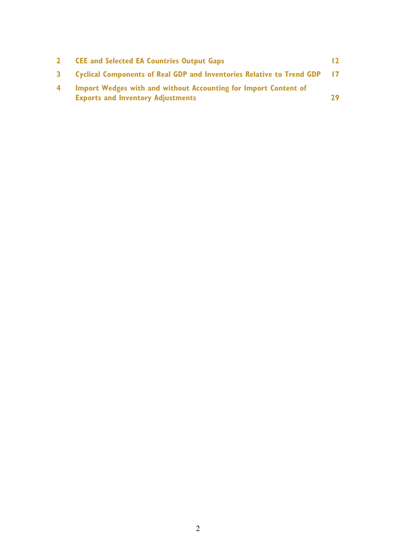|    | <b>CEE and Selected EA Countries Output Gaps</b>                         | $\overline{2}$ |
|----|--------------------------------------------------------------------------|----------------|
| 3. | Cyclical Components of Real GDP and Inventories Relative to Trend GDP 17 |                |
| 4  | Import Wedges with and without Accounting for Import Content of          |                |
|    | <b>Exports and Inventory Adjustments</b>                                 | 29             |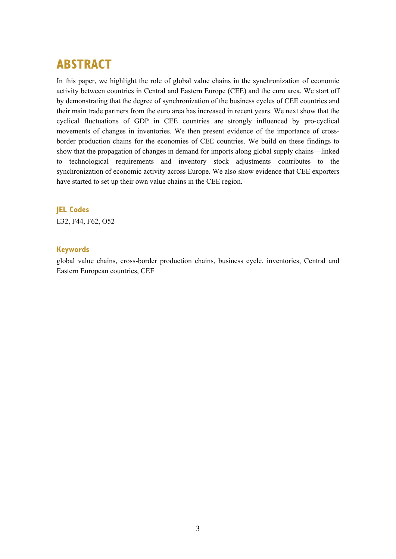## **ABSTRACT**

In this paper, we highlight the role of global value chains in the synchronization of economic activity between countries in Central and Eastern Europe (CEE) and the euro area. We start off by demonstrating that the degree of synchronization of the business cycles of CEE countries and their main trade partners from the euro area has increased in recent years. We next show that the cyclical fluctuations of GDP in CEE countries are strongly influenced by pro-cyclical movements of changes in inventories. We then present evidence of the importance of crossborder production chains for the economies of CEE countries. We build on these findings to show that the propagation of changes in demand for imports along global supply chains—linked to technological requirements and inventory stock adjustments—contributes to the synchronization of economic activity across Europe. We also show evidence that CEE exporters have started to set up their own value chains in the CEE region.

#### **JEL Codes**

E32, F44, F62, O52

#### **Keywords**

global value chains, cross-border production chains, business cycle, inventories, Central and Eastern European countries, CEE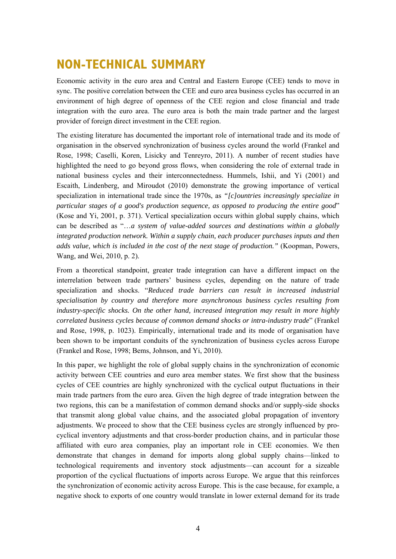# **NON-TECHNICAL SUMMARY**

Economic activity in the euro area and Central and Eastern Europe (CEE) tends to move in sync. The positive correlation between the CEE and euro area business cycles has occurred in an environment of high degree of openness of the CEE region and close financial and trade integration with the euro area. The euro area is both the main trade partner and the largest provider of foreign direct investment in the CEE region.

The existing literature has documented the important role of international trade and its mode of organisation in the observed synchronization of business cycles around the world (Frankel and Rose, 1998; Caselli, Koren, Lisicky and Tenreyro, 2011). A number of recent studies have highlighted the need to go beyond gross flows, when considering the role of external trade in national business cycles and their interconnectedness. Hummels, Ishii, and Yi (2001) and Escaith, Lindenberg, and Miroudot (2010) demonstrate the growing importance of vertical specialization in international trade since the 1970s, as *"[c]ountries increasingly specialize in particular stages of a good's production sequence, as opposed to producing the entire good*" (Kose and Yi, 2001, p. 371). Vertical specialization occurs within global supply chains, which can be described as "…*a system of value-added sources and destinations within a globally integrated production network. Within a supply chain, each producer purchases inputs and then adds value, which is included in the cost of the next stage of production."* (Koopman, Powers, Wang, and Wei, 2010, p. 2).

From a theoretical standpoint, greater trade integration can have a different impact on the interrelation between trade partners' business cycles, depending on the nature of trade specialization and shocks. "*Reduced trade barriers can result in increased industrial specialisation by country and therefore more asynchronous business cycles resulting from industry-specific shocks. On the other hand, increased integration may result in more highly correlated business cycles because of common demand shocks or intra-industry trade*" (Frankel and Rose, 1998, p. 1023). Empirically, international trade and its mode of organisation have been shown to be important conduits of the synchronization of business cycles across Europe (Frankel and Rose, 1998; Bems, Johnson, and Yi, 2010).

In this paper, we highlight the role of global supply chains in the synchronization of economic activity between CEE countries and euro area member states. We first show that the business cycles of CEE countries are highly synchronized with the cyclical output fluctuations in their main trade partners from the euro area. Given the high degree of trade integration between the two regions, this can be a manifestation of common demand shocks and/or supply-side shocks that transmit along global value chains, and the associated global propagation of inventory adjustments. We proceed to show that the CEE business cycles are strongly influenced by procyclical inventory adjustments and that cross-border production chains, and in particular those affiliated with euro area companies, play an important role in CEE economies. We then demonstrate that changes in demand for imports along global supply chains—linked to technological requirements and inventory stock adjustments—can account for a sizeable proportion of the cyclical fluctuations of imports across Europe. We argue that this reinforces the synchronization of economic activity across Europe. This is the case because, for example, a negative shock to exports of one country would translate in lower external demand for its trade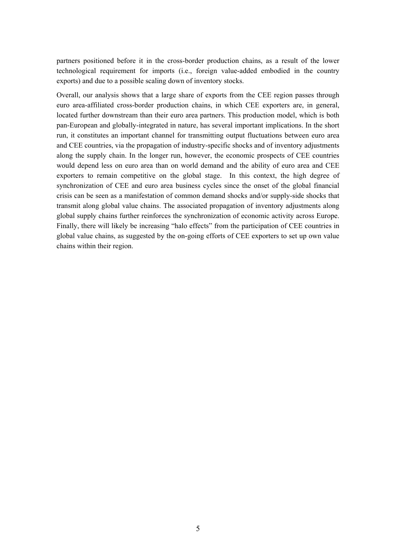partners positioned before it in the cross-border production chains, as a result of the lower technological requirement for imports (i.e., foreign value-added embodied in the country exports) and due to a possible scaling down of inventory stocks.

Overall, our analysis shows that a large share of exports from the CEE region passes through euro area-affiliated cross-border production chains, in which CEE exporters are, in general, located further downstream than their euro area partners. This production model, which is both pan-European and globally-integrated in nature, has several important implications. In the short run, it constitutes an important channel for transmitting output fluctuations between euro area and CEE countries, via the propagation of industry-specific shocks and of inventory adjustments along the supply chain. In the longer run, however, the economic prospects of CEE countries would depend less on euro area than on world demand and the ability of euro area and CEE exporters to remain competitive on the global stage. In this context, the high degree of synchronization of CEE and euro area business cycles since the onset of the global financial crisis can be seen as a manifestation of common demand shocks and/or supply-side shocks that transmit along global value chains. The associated propagation of inventory adjustments along global supply chains further reinforces the synchronization of economic activity across Europe. Finally, there will likely be increasing "halo effects" from the participation of CEE countries in global value chains, as suggested by the on-going efforts of CEE exporters to set up own value chains within their region.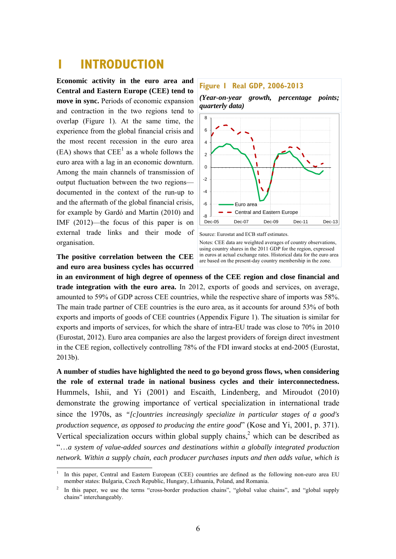## **1 INTRODUCTION**

**Economic activity in the euro area and Central and Eastern Europe (CEE) tend to move in sync.** Periods of economic expansion and contraction in the two regions tend to overlap (Figure 1). At the same time, the experience from the global financial crisis and the most recent recession in the euro area  $(EA)$  shows that  $EEE^1$  as a whole follows the euro area with a lag in an economic downturn. Among the main channels of transmission of output fluctuation between the two regions documented in the context of the run-up to and the aftermath of the global financial crisis, for example by Gardó and Martin (2010) and IMF (2012)—the focus of this paper is on external trade links and their mode of organisation.

**The positive correlation between the CEE and euro area business cycles has occurred** 

1



*(Year-on-year growth, percentage points; quarterly data)* 



Source: Eurostat and ECB staff estimates.

Notes: CEE data are weighted averages of country observations, using country shares in the 2011 GDP for the region, expressed in euros at actual exchange rates. Historical data for the euro area are based on the present-day country membership in the zone.

**in an environment of high degree of openness of the CEE region and close financial and trade integration with the euro area.** In 2012, exports of goods and services, on average, amounted to 59% of GDP across CEE countries, while the respective share of imports was 58%. The main trade partner of CEE countries is the euro area, as it accounts for around 53% of both exports and imports of goods of CEE countries (Appendix Figure 1). The situation is similar for exports and imports of services, for which the share of intra-EU trade was close to 70% in 2010 (Eurostat, 2012). Euro area companies are also the largest providers of foreign direct investment in the CEE region, collectively controlling 78% of the FDI inward stocks at end-2005 (Eurostat, 2013b).

**A number of studies have highlighted the need to go beyond gross flows, when considering the role of external trade in national business cycles and their interconnectedness.**  Hummels, Ishii, and Yi (2001) and Escaith, Lindenberg, and Miroudot (2010) demonstrate the growing importance of vertical specialization in international trade since the 1970s, as *"[c]ountries increasingly specialize in particular stages of a good's production sequence, as opposed to producing the entire good*" (Kose and Yi, 2001, p. 371). Vertical specialization occurs within global supply chains,<sup>2</sup> which can be described as "…*a system of value-added sources and destinations within a globally integrated production network. Within a supply chain, each producer purchases inputs and then adds value, which is* 

<sup>1</sup> In this paper, Central and Eastern European (CEE) countries are defined as the following non-euro area EU member states: Bulgaria, Czech Republic, Hungary, Lithuania, Poland, and Romania.

<sup>2</sup> In this paper, we use the terms "cross-border production chains", "global value chains", and "global supply chains" interchangeably.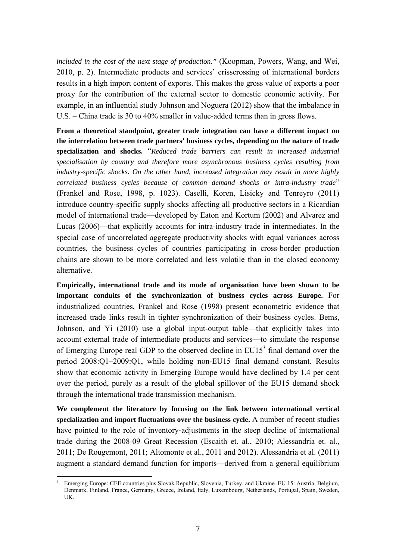*included in the cost of the next stage of production."* (Koopman, Powers, Wang, and Wei, 2010, p. 2). Intermediate products and services' crisscrossing of international borders results in a high import content of exports. This makes the gross value of exports a poor proxy for the contribution of the external sector to domestic economic activity. For example, in an influential study Johnson and Noguera (2012) show that the imbalance in U.S. – China trade is 30 to 40% smaller in value-added terms than in gross flows.

**From a theoretical standpoint, greater trade integration can have a different impact on the interrelation between trade partners' business cycles, depending on the nature of trade specialization and shocks.** "*Reduced trade barriers can result in increased industrial specialisation by country and therefore more asynchronous business cycles resulting from industry-specific shocks. On the other hand, increased integration may result in more highly correlated business cycles because of common demand shocks or intra-industry trade*" (Frankel and Rose, 1998, p. 1023). Caselli, Koren, Lisicky and Tenreyro (2011) introduce country-specific supply shocks affecting all productive sectors in a Ricardian model of international trade—developed by Eaton and Kortum (2002) and Alvarez and Lucas (2006)—that explicitly accounts for intra-industry trade in intermediates. In the special case of uncorrelated aggregate productivity shocks with equal variances across countries, the business cycles of countries participating in cross-border production chains are shown to be more correlated and less volatile than in the closed economy alternative.

**Empirically, international trade and its mode of organisation have been shown to be important conduits of the synchronization of business cycles across Europe.** For industrialized countries, Frankel and Rose (1998) present econometric evidence that increased trade links result in tighter synchronization of their business cycles. Bems, Johnson, and Yi (2010) use a global input-output table—that explicitly takes into account external trade of intermediate products and services—to simulate the response of Emerging Europe real GDP to the observed decline in  $EUI5<sup>3</sup>$  final demand over the period 2008:Q1–2009:Q1, while holding non-EU15 final demand constant. Results show that economic activity in Emerging Europe would have declined by 1.4 per cent over the period, purely as a result of the global spillover of the EU15 demand shock through the international trade transmission mechanism.

**We complement the literature by focusing on the link between international vertical specialization and import fluctuations over the business cycle.** A number of recent studies have pointed to the role of inventory-adjustments in the steep decline of international trade during the 2008-09 Great Recession (Escaith et. al., 2010; Alessandria et. al., 2011; De Rougemont, 2011; Altomonte et al., 2011 and 2012). Alessandria et al. (2011) augment a standard demand function for imports—derived from a general equilibrium

<sup>1</sup> 3 Emerging Europe: CEE countries plus Slovak Republic, Slovenia, Turkey, and Ukraine. EU 15: Austria, Belgium, Denmark, Finland, France, Germany, Greece, Ireland, Italy, Luxembourg, Netherlands, Portugal, Spain, Sweden, UK.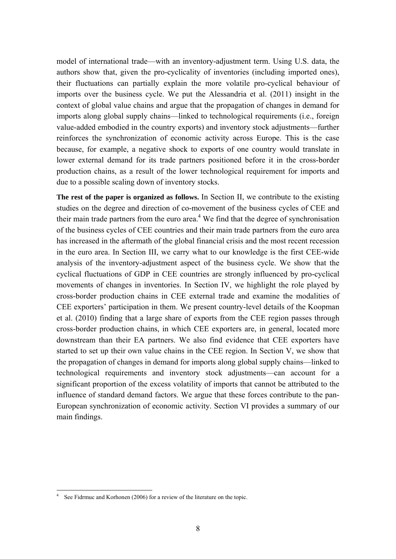model of international trade—with an inventory-adjustment term. Using U.S. data, the authors show that, given the pro-cyclicality of inventories (including imported ones), their fluctuations can partially explain the more volatile pro-cyclical behaviour of imports over the business cycle. We put the Alessandria et al. (2011) insight in the context of global value chains and argue that the propagation of changes in demand for imports along global supply chains—linked to technological requirements (i.e., foreign value-added embodied in the country exports) and inventory stock adjustments—further reinforces the synchronization of economic activity across Europe. This is the case because, for example, a negative shock to exports of one country would translate in lower external demand for its trade partners positioned before it in the cross-border production chains, as a result of the lower technological requirement for imports and due to a possible scaling down of inventory stocks.

**The rest of the paper is organized as follows.** In Section II, we contribute to the existing studies on the degree and direction of co-movement of the business cycles of CEE and their main trade partners from the euro area. $4$  We find that the degree of synchronisation of the business cycles of CEE countries and their main trade partners from the euro area has increased in the aftermath of the global financial crisis and the most recent recession in the euro area. In Section III, we carry what to our knowledge is the first CEE-wide analysis of the inventory-adjustment aspect of the business cycle. We show that the cyclical fluctuations of GDP in CEE countries are strongly influenced by pro-cyclical movements of changes in inventories. In Section IV, we highlight the role played by cross-border production chains in CEE external trade and examine the modalities of CEE exporters' participation in them. We present country-level details of the Koopman et al. (2010) finding that a large share of exports from the CEE region passes through cross-border production chains, in which CEE exporters are, in general, located more downstream than their EA partners. We also find evidence that CEE exporters have started to set up their own value chains in the CEE region. In Section V, we show that the propagation of changes in demand for imports along global supply chains—linked to technological requirements and inventory stock adjustments—can account for a significant proportion of the excess volatility of imports that cannot be attributed to the influence of standard demand factors. We argue that these forces contribute to the pan-European synchronization of economic activity. Section VI provides a summary of our main findings.

<sup>4</sup> See Fidrmuc and Korhonen (2006) for a review of the literature on the topic.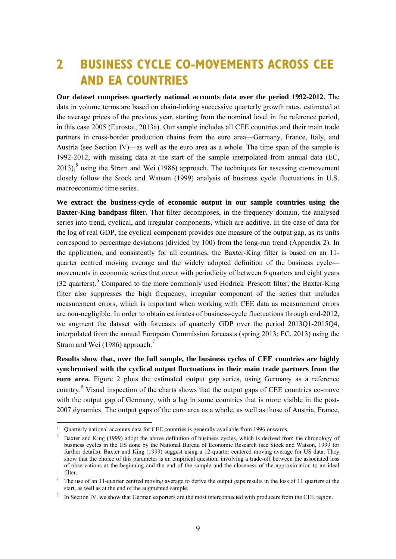# **2 BUSINESS CYCLE CO-MOVEMENTS ACROSS CEE AND EA COUNTRIES**

**Our dataset comprises quarterly national accounts data over the period 1992-2012.** The data in volume terms are based on chain-linking successive quarterly growth rates, estimated at the average prices of the previous year, starting from the nominal level in the reference period, in this case 2005 (Eurostat, 2013a). Our sample includes all CEE countries and their main trade partners in cross-border production chains from the euro area—Germany, France, Italy, and Austria (see Section IV)—as well as the euro area as a whole. The time span of the sample is 1992-2012, with missing data at the start of the sample interpolated from annual data (EC,  $2013$ ),<sup>5</sup> using the Stram and Wei (1986) approach. The techniques for assessing co-movement closely follow the Stock and Watson (1999) analysis of business cycle fluctuations in U.S. macroeconomic time series.

**We extract the business-cycle of economic output in our sample countries using the Baxter-King bandpass filter.** That filter decomposes, in the frequency domain, the analysed series into trend, cyclical, and irregular components, which are additive. In the case of data for the log of real GDP, the cyclical component provides one measure of the output gap, as its units correspond to percentage deviations (divided by 100) from the long-run trend (Appendix 2). In the application, and consistently for all countries, the Baxter-King filter is based on an 11 quarter centred moving average and the widely adopted definition of the business cycle movements in economic series that occur with periodicity of between 6 quarters and eight years  $(32 \text{ quarters})$ . Compared to the more commonly used Hodrick–Prescott filter, the Baxter-King filter also suppresses the high frequency, irregular component of the series that includes measurement errors, which is important when working with CEE data as measurement errors are non-negligible. In order to obtain estimates of business-cycle fluctuations through end-2012, we augment the dataset with forecasts of quarterly GDP over the period 2013Q1-2015Q4, interpolated from the annual European Commission forecasts (spring 2013; EC, 2013) using the Stram and Wei (1986) approach.<sup>7</sup>

**Results show that, over the full sample, the business cycles of CEE countries are highly synchronised with the cyclical output fluctuations in their main trade partners from the euro area.** Figure 2 plots the estimated output gap series, using Germany as a reference country.<sup>8</sup> Visual inspection of the charts shows that the output gaps of CEE countries co-move with the output gap of Germany, with a lag in some countries that is more visible in the post-2007 dynamics. The output gaps of the euro area as a whole, as well as those of Austria, France,

-

<sup>5</sup> Quarterly national accounts data for CEE countries is generally available from 1996 onwards.

<sup>6</sup> Baxter and King (1999) adopt the above definition of business cycles, which is derived from the chronology of business cycles in the US done by the National Bureau of Economic Research (see Stock and Watson, 1999 for further details). Baxter and King (1999) suggest using a 12-quarter centered moving average for US data. They show that the choice of this parameter is an empirical question, involving a trade-off between the associated loss of observations at the beginning and the end of the sample and the closeness of the approximation to an ideal filter.

 $\frac{7}{10}$  The use of an 11-quarter centred moving average to derive the output gaps results in the loss of 11 quarters at the start, as well as at the end of the augmented sample.

<sup>&</sup>lt;sup>8</sup> In Section IV, we show that German exporters are the most interconnected with producers from the CEE region.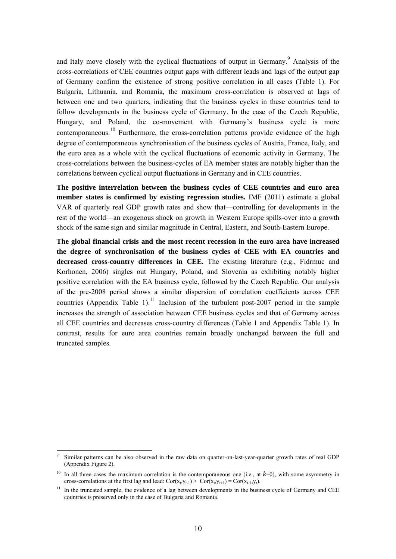and Italy move closely with the cyclical fluctuations of output in Germany.<sup>9</sup> Analysis of the cross-correlations of CEE countries output gaps with different leads and lags of the output gap of Germany confirm the existence of strong positive correlation in all cases (Table 1). For Bulgaria, Lithuania, and Romania, the maximum cross-correlation is observed at lags of between one and two quarters, indicating that the business cycles in these countries tend to follow developments in the business cycle of Germany. In the case of the Czech Republic, Hungary, and Poland, the co-movement with Germany's business cycle is more contemporaneous.<sup>10</sup> Furthermore, the cross-correlation patterns provide evidence of the high degree of contemporaneous synchronisation of the business cycles of Austria, France, Italy, and the euro area as a whole with the cyclical fluctuations of economic activity in Germany. The cross-correlations between the business-cycles of EA member states are notably higher than the correlations between cyclical output fluctuations in Germany and in CEE countries.

**The positive interrelation between the business cycles of CEE countries and euro area member states is confirmed by existing regression studies.** IMF (2011) estimate a global VAR of quarterly real GDP growth rates and show that—controlling for developments in the rest of the world—an exogenous shock on growth in Western Europe spills-over into a growth shock of the same sign and similar magnitude in Central, Eastern, and South-Eastern Europe.

**The global financial crisis and the most recent recession in the euro area have increased the degree of synchronisation of the business cycles of CEE with EA countries and decreased cross-country differences in CEE.** The existing literature (e.g., Fidrmuc and Korhonen, 2006) singles out Hungary, Poland, and Slovenia as exhibiting notably higher positive correlation with the EA business cycle, followed by the Czech Republic. Our analysis of the pre-2008 period shows a similar dispersion of correlation coefficients across CEE countries (Appendix Table 1).<sup>11</sup> Inclusion of the turbulent post-2007 period in the sample increases the strength of association between CEE business cycles and that of Germany across all CEE countries and decreases cross-country differences (Table 1 and Appendix Table 1). In contrast, results for euro area countries remain broadly unchanged between the full and truncated samples.

<sup>9</sup> Similar patterns can be also observed in the raw data on quarter-on-last-year-quarter growth rates of real GDP (Appendix Figure 2).

<sup>&</sup>lt;sup>10</sup> In all three cases the maximum correlation is the contemporaneous one (i.e., at  $k=0$ ), with some asymmetry in cross-correlations at the first lag and lead:  $Cor(x_t, y_{t-1}) > Cor(x_t, y_{t+1}) = Cor(x_{t-1}, y_t)$ .

<sup>&</sup>lt;sup>11</sup> In the truncated sample, the evidence of a lag between developments in the business cycle of Germany and CEE countries is preserved only in the case of Bulgaria and Romania.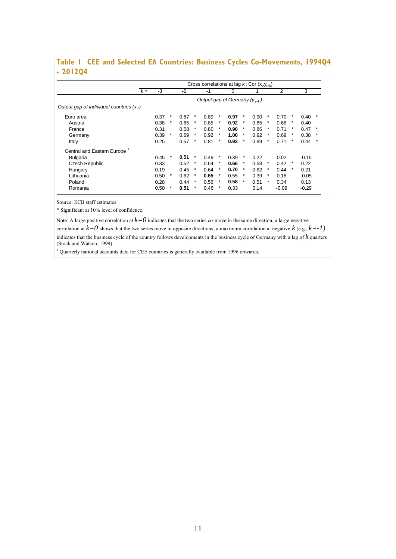### **Table 1 CEE and Selected EA Countries: Business Cycles Co-Movements, 1994Q4 - 2012Q4**

|                                           |       |      |         |      |        |      |        | Cross correlations at lag $k$ : Cor $(x_t, y_{t+k})$ |         |      |         |         |        |         |         |
|-------------------------------------------|-------|------|---------|------|--------|------|--------|------------------------------------------------------|---------|------|---------|---------|--------|---------|---------|
|                                           | $k =$ | $-3$ |         | $-2$ |        | -1   |        | 0                                                    |         |      |         | 2       |        | 3       |         |
|                                           |       |      |         |      |        |      |        | Output gap of Germany $(y_{t+k})$                    |         |      |         |         |        |         |         |
| Output gap of individual countries $(xt)$ |       |      |         |      |        |      |        |                                                      |         |      |         |         |        |         |         |
| Euro area                                 |       | 0.37 | *       | 0.67 | $\ast$ | 0.89 | $\ast$ | 0.97                                                 | $\ast$  | 0.90 | $\ast$  | 0.70    | $\ast$ | 0.40    | $\star$ |
| Austria                                   |       | 0.38 | $^\ast$ | 0.65 | $\ast$ | 0.85 | $\ast$ | 0.92                                                 | *       | 0.85 | $\ast$  | 0.66    | $\ast$ | 0.40    |         |
| France                                    |       | 0.31 |         | 0.58 | $\ast$ | 0.80 | $\ast$ | 0.90                                                 | $\ast$  | 0.86 | $\ast$  | 0.71    | $\ast$ | 0.47    | $\star$ |
| Germany                                   |       | 0.39 | $\star$ | 0.69 | $\ast$ | 0.92 | $\ast$ | 1.00                                                 | $\star$ | 0.92 | $\ast$  | 0.69    | $\ast$ | 0.38    | $\star$ |
| Italy                                     |       | 0.25 |         | 0.57 | $\ast$ | 0.81 | $\ast$ | 0.93                                                 | $\star$ | 0.89 | $\star$ | 0.71    | $\ast$ | 0.44    | $\star$ |
| Central and Eastern Europe <sup>1</sup>   |       |      |         |      |        |      |        |                                                      |         |      |         |         |        |         |         |
| <b>Bulgaria</b>                           |       | 0.45 | $\ast$  | 0.51 | $\ast$ | 0.49 | $\ast$ | 0.39                                                 | $\ast$  | 0.22 |         | 0.02    |        | $-0.15$ |         |
| <b>Czech Republic</b>                     |       | 0.33 |         | 0.52 | $\ast$ | 0.64 | $\ast$ | 0.66                                                 | $\ast$  | 0.58 | $\ast$  | 0.42    | $\ast$ | 0.22    |         |
| Hungary                                   |       | 0.19 |         | 0.45 | $\ast$ | 0.64 | $\ast$ | 0.70                                                 | *       | 0.62 | $\ast$  | 0.44    | $\ast$ | 0.21    |         |
| Lithuania                                 |       | 0.50 | $\star$ | 0.62 | $\ast$ | 0.65 |        | 0.55                                                 | $\ast$  | 0.39 | *       | 0.18    |        | $-0.05$ |         |
| Poland                                    |       | 0.28 |         | 0.44 | $\ast$ | 0.56 | $\ast$ | 0.58                                                 | $\ast$  | 0.51 | $\ast$  | 0.34    |        | 0.13    |         |
| Romania                                   |       | 0.50 | $\star$ | 0.51 | $\ast$ | 0.46 | $\ast$ | 0.33                                                 |         | 0.14 |         | $-0.09$ |        | $-0.29$ |         |

Source: ECB staff estimates.

\* Significant at 10% level of confidence.

Note: A large positive correlation at  $k=0$  indicates that the two series co-move in the same direction; a large negative correlation at  $k=0$  shows that the two series move in opposite directions; a maximum correlation at negative  $k$  (e.g.,  $k=1$ )

indicates that the business cycle of the country follows developments in the business cycle of Germany with a lag of *k* quarters (Stock and Watson, 1999).

<sup>1</sup> Quarterly national accounts data for CEE countries is generally available from 1996 onwards.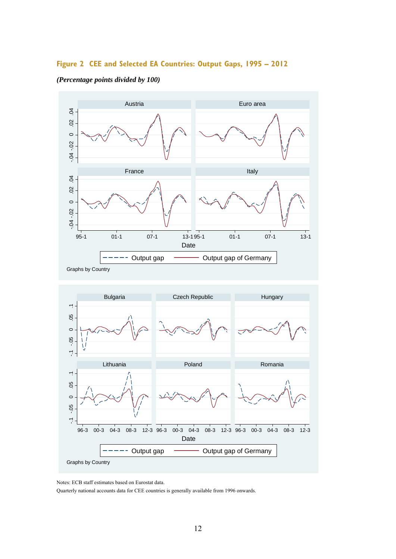### **Figure 2 CEE and Selected EA Countries: Output Gaps, 1995 – 2012**



#### *(Percentage points divided by 100)*



Notes: ECB staff estimates based on Eurostat data.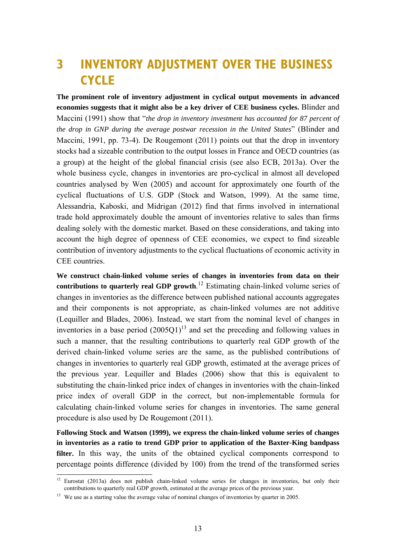# **3 INVENTORY ADJUSTMENT OVER THE BUSINESS CYCLE**

**The prominent role of inventory adjustment in cyclical output movements in advanced economies suggests that it might also be a key driver of CEE business cycles.** Blinder and Maccini (1991) show that "*the drop in inventory investment has accounted for 87 percent of the drop in GNP during the average postwar recession in the United States*" (Blinder and Maccini, 1991, pp. 73-4). De Rougemont (2011) points out that the drop in inventory stocks had a sizeable contribution to the output losses in France and OECD countries (as a group) at the height of the global financial crisis (see also ECB, 2013a). Over the whole business cycle, changes in inventories are pro-cyclical in almost all developed countries analysed by Wen (2005) and account for approximately one fourth of the cyclical fluctuations of U.S. GDP (Stock and Watson, 1999). At the same time, Alessandria, Kaboski, and Midrigan (2012) find that firms involved in international trade hold approximately double the amount of inventories relative to sales than firms dealing solely with the domestic market. Based on these considerations, and taking into account the high degree of openness of CEE economies, we expect to find sizeable contribution of inventory adjustments to the cyclical fluctuations of economic activity in CEE countries.

**We construct chain-linked volume series of changes in inventories from data on their contributions to quarterly real GDP growth**. 12 Estimating chain-linked volume series of changes in inventories as the difference between published national accounts aggregates and their components is not appropriate, as chain-linked volumes are not additive (Lequiller and Blades, 2006). Instead, we start from the nominal level of changes in inventories in a base period  $(2005Q1)^{13}$  and set the preceding and following values in such a manner, that the resulting contributions to quarterly real GDP growth of the derived chain-linked volume series are the same, as the published contributions of changes in inventories to quarterly real GDP growth, estimated at the average prices of the previous year. Lequiller and Blades (2006) show that this is equivalent to substituting the chain-linked price index of changes in inventories with the chain-linked price index of overall GDP in the correct, but non-implementable formula for calculating chain-linked volume series for changes in inventories. The same general procedure is also used by De Rougemont (2011).

**Following Stock and Watson (1999), we express the chain-linked volume series of changes in inventories as a ratio to trend GDP prior to application of the Baxter-King bandpass filter.** In this way, the units of the obtained cyclical components correspond to percentage points difference (divided by 100) from the trend of the transformed series

 $12$  Eurostat (2013a) does not publish chain-linked volume series for changes in inventories, but only their contributions to quarterly real GDP growth, estimated at the average prices of the previous year.

<sup>&</sup>lt;sup>13</sup> We use as a starting value the average value of nominal changes of inventories by quarter in 2005.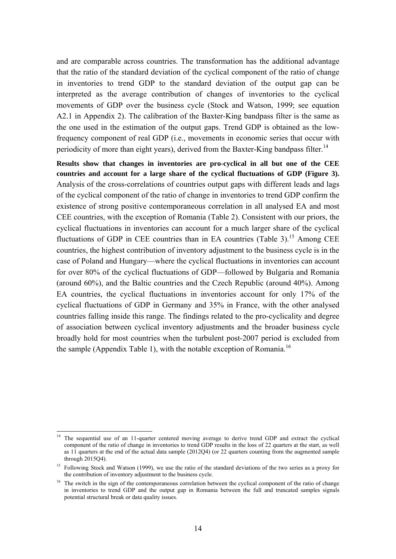and are comparable across countries. The transformation has the additional advantage that the ratio of the standard deviation of the cyclical component of the ratio of change in inventories to trend GDP to the standard deviation of the output gap can be interpreted as the average contribution of changes of inventories to the cyclical movements of GDP over the business cycle (Stock and Watson, 1999; see equation A2.1 in Appendix 2). The calibration of the Baxter-King bandpass filter is the same as the one used in the estimation of the output gaps. Trend GDP is obtained as the lowfrequency component of real GDP (i.e., movements in economic series that occur with periodicity of more than eight years), derived from the Baxter-King bandpass filter.<sup>14</sup>

**Results show that changes in inventories are pro-cyclical in all but one of the CEE countries and account for a large share of the cyclical fluctuations of GDP (Figure 3).** Analysis of the cross-correlations of countries output gaps with different leads and lags of the cyclical component of the ratio of change in inventories to trend GDP confirm the existence of strong positive contemporaneous correlation in all analysed EA and most CEE countries, with the exception of Romania (Table 2). Consistent with our priors, the cyclical fluctuations in inventories can account for a much larger share of the cyclical fluctuations of GDP in CEE countries than in EA countries (Table 3).<sup>15</sup> Among CEE countries, the highest contribution of inventory adjustment to the business cycle is in the case of Poland and Hungary—where the cyclical fluctuations in inventories can account for over 80% of the cyclical fluctuations of GDP—followed by Bulgaria and Romania (around 60%), and the Baltic countries and the Czech Republic (around 40%). Among EA countries, the cyclical fluctuations in inventories account for only 17% of the cyclical fluctuations of GDP in Germany and 35% in France, with the other analysed countries falling inside this range. The findings related to the pro-cyclicality and degree of association between cyclical inventory adjustments and the broader business cycle broadly hold for most countries when the turbulent post-2007 period is excluded from the sample (Appendix Table 1), with the notable exception of Romania.<sup>16</sup>

<sup>&</sup>lt;sup>14</sup> The sequential use of an 11-quarter centered moving average to derive trend GDP and extract the cyclical component of the ratio of change in inventories to trend GDP results in the loss of 22 quarters at the start, as well as 11 quarters at the end of the actual data sample (2012Q4) (or 22 quarters counting from the augmented sample through 2015Q4).

<sup>&</sup>lt;sup>15</sup> Following Stock and Watson (1999), we use the ratio of the standard deviations of the two series as a proxy for the contribution of inventory adjustment to the business cycle.

<sup>&</sup>lt;sup>16</sup> The switch in the sign of the contemporaneous correlation between the cyclical component of the ratio of change in inventories to trend GDP and the output gap in Romania between the full and truncated samples signals potential structural break or data quality issues.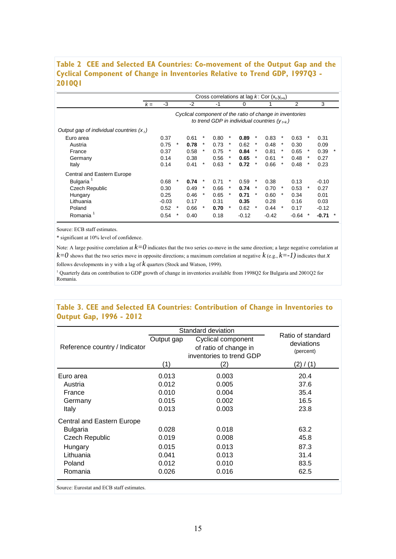### **Table 2 CEE and Selected EA Countries: Co-movement of the Output Gap and the Cyclical Component of Change in Inventories Relative to Trend GDP, 1997Q3 - 2010Q1**

|                                           |       |         |         |      |        |      |          | Cross correlations at lag $k$ : Cor $(x_t, y_{t+k})$                                                         |         |         |          |         |        |         |         |
|-------------------------------------------|-------|---------|---------|------|--------|------|----------|--------------------------------------------------------------------------------------------------------------|---------|---------|----------|---------|--------|---------|---------|
|                                           | $k =$ | $-3$    |         | -2   |        | -1   |          | 0                                                                                                            |         |         |          | 2       |        | 3       |         |
|                                           |       |         |         |      |        |      |          | Cyclical component of the ratio of change in inventories<br>to trend GDP in individual countries $(V_{t+k})$ |         |         |          |         |        |         |         |
| Output gap of individual countries $(xt)$ |       |         |         |      |        |      |          |                                                                                                              |         |         |          |         |        |         |         |
| Euro area                                 |       | 0.37    |         | 0.61 | *      | 0.80 | *        | 0.89                                                                                                         | $\ast$  | 0.83    | $\ast$   | 0.63    | $\ast$ | 0.31    |         |
| Austria                                   |       | 0.75    | $^\ast$ | 0.78 | $\ast$ | 0.73 | $\ast$   | 0.62                                                                                                         | $\ast$  | 0.48    | $\ast$   | 0.30    |        | 0.09    |         |
| France                                    |       | 0.37    |         | 0.58 | $\ast$ | 0.75 | *        | 0.84                                                                                                         | $\ast$  | 0.81    | $\ast$   | 0.65    | $\ast$ | 0.39    | $^\ast$ |
| Germany                                   |       | 0.14    |         | 0.38 |        | 0.56 | $\ast$   | 0.65                                                                                                         |         | 0.61    | *        | 0.48    | *      | 0.27    |         |
| Italy                                     |       | 0.14    |         | 0.41 | $\ast$ | 0.63 | *        | 0.72                                                                                                         | $\ast$  | 0.66    | $\ast$   | 0.48    | $\ast$ | 0.23    |         |
| Central and Eastern Europe                |       |         |         |      |        |      |          |                                                                                                              |         |         |          |         |        |         |         |
| Bulgaria <sup>1</sup>                     |       | 0.68    | *       | 0.74 | *      | 0.71 | *        | 0.59                                                                                                         |         | 0.38    |          | 0.13    |        | $-0.10$ |         |
| Czech Republic                            |       | 0.30    |         | 0.49 | *      | 0.66 | $\ast$   | 0.74                                                                                                         |         | 0.70    | $\ast$   | 0.53    | $\ast$ | 0.27    |         |
| Hungary                                   |       | 0.25    |         | 0.46 | *      | 0.65 | $^\star$ | 0.71                                                                                                         |         | 0.60    | $^\star$ | 0.34    |        | 0.01    |         |
| Lithuania                                 |       | $-0.03$ |         | 0.17 |        | 0.31 |          | 0.35                                                                                                         |         | 0.28    |          | 0.16    |        | 0.03    |         |
| Poland                                    |       | 0.52    | *       | 0.66 | *      | 0.70 | $\star$  | 0.62                                                                                                         | $\star$ | 0.44    | $\star$  | 0.17    |        | $-0.12$ |         |
| Romania <sup>1</sup>                      |       | 0.54    | *       | 0.40 |        | 0.18 |          | $-0.12$                                                                                                      |         | $-0.42$ |          | $-0.64$ |        | $-0.71$ |         |

Source: ECB staff estimates.

\* significant at 10% level of confidence.

Note: A large positive correlation at  $k=0$  indicates that the two series co-move in the same direction; a large negative correlation at  $k=0$  shows that the two series move in opposite directions; a maximum correlation at negative  $k$  (e.g.,  $k=1$ ) indicates that  $x$ follows developments in y with a lag of *k* quarters (Stock and Watson, 1999).

<sup>1</sup> Quarterly data on contribution to GDP growth of change in inventories available from 1998Q2 for Bulgaria and 2001Q2 for Romania.

### **Table 3. CEE and Selected EA Countries: Contribution of Change in Inventories to Output Gap, 1996 - 2012**

|                                                                                                          |            | Standard deviation                                                      | Ratio of standard       |
|----------------------------------------------------------------------------------------------------------|------------|-------------------------------------------------------------------------|-------------------------|
| Reference country / Indicator                                                                            | Output gap | Cyclical component<br>of ratio of change in<br>inventories to trend GDP | deviations<br>(percent) |
|                                                                                                          | (1)        | (2)                                                                     | (2) / (1)               |
| Euro area                                                                                                | 0.013      | 0.003                                                                   | 20.4                    |
| Austria                                                                                                  | 0.012      | 0.005                                                                   | 37.6                    |
| France                                                                                                   | 0.010      | 0.004                                                                   | 35.4                    |
| Germany                                                                                                  | 0.015      | 0.002                                                                   | 16.5                    |
| Italy                                                                                                    | 0.013      | 0.003                                                                   | 23.8                    |
| Central and Eastern Europe                                                                               |            |                                                                         |                         |
| Bulgaria                                                                                                 | 0.028      | 0.018                                                                   | 63.2                    |
| <b>Czech Republic</b>                                                                                    | 0.019      | 0.008                                                                   | 45.8                    |
| Hungary                                                                                                  | 0.015      | 0.013                                                                   | 87.3                    |
| Lithuania                                                                                                | 0.041      | 0.013                                                                   | 31.4                    |
| Poland                                                                                                   | 0.012      | 0.010                                                                   | 83.5                    |
| Romania                                                                                                  | 0.026      | 0.016                                                                   | 62.5                    |
| $\Omega$ - $\Omega$ . $\Gamma$ and $\Omega$ and $\Gamma$ $\Omega$ and $\Omega$ and $\Omega$ and $\Omega$ |            |                                                                         |                         |

Source: Eurostat and ECB staff estimates.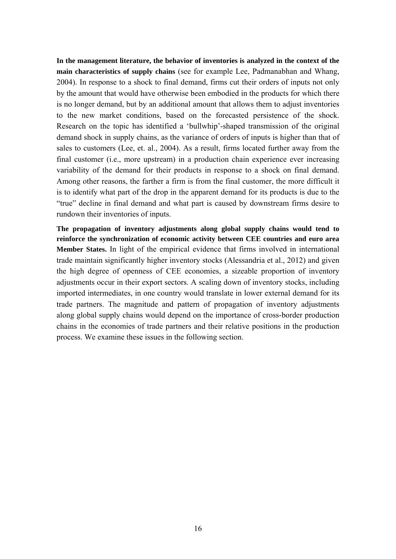**In the management literature, the behavior of inventories is analyzed in the context of the main characteristics of supply chains** (see for example Lee, Padmanabhan and Whang, 2004). In response to a shock to final demand, firms cut their orders of inputs not only by the amount that would have otherwise been embodied in the products for which there is no longer demand, but by an additional amount that allows them to adjust inventories to the new market conditions, based on the forecasted persistence of the shock. Research on the topic has identified a 'bullwhip'-shaped transmission of the original demand shock in supply chains, as the variance of orders of inputs is higher than that of sales to customers (Lee, et. al., 2004). As a result, firms located further away from the final customer (i.e., more upstream) in a production chain experience ever increasing variability of the demand for their products in response to a shock on final demand. Among other reasons, the farther a firm is from the final customer, the more difficult it is to identify what part of the drop in the apparent demand for its products is due to the "true" decline in final demand and what part is caused by downstream firms desire to rundown their inventories of inputs.

**The propagation of inventory adjustments along global supply chains would tend to reinforce the synchronization of economic activity between CEE countries and euro area Member States.** In light of the empirical evidence that firms involved in international trade maintain significantly higher inventory stocks (Alessandria et al., 2012) and given the high degree of openness of CEE economies, a sizeable proportion of inventory adjustments occur in their export sectors. A scaling down of inventory stocks, including imported intermediates, in one country would translate in lower external demand for its trade partners. The magnitude and pattern of propagation of inventory adjustments along global supply chains would depend on the importance of cross-border production chains in the economies of trade partners and their relative positions in the production process. We examine these issues in the following section.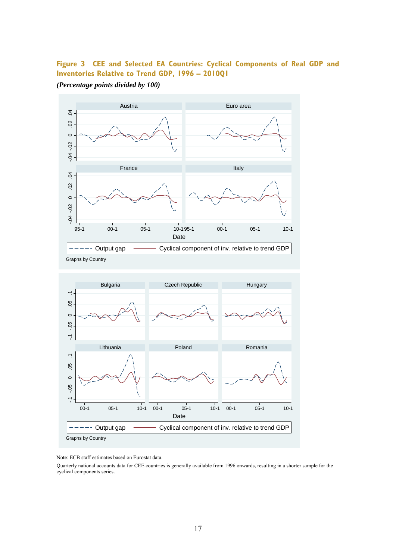### **Figure 3 CEE and Selected EA Countries: Cyclical Components of Real GDP and Inventories Relative to Trend GDP, 1996 – 2010Q1**

*(Percentage points divided by 100)* 







Note: ECB staff estimates based on Eurostat data.

Quarterly national accounts data for CEE countries is generally available from 1996 onwards, resulting in a shorter sample for the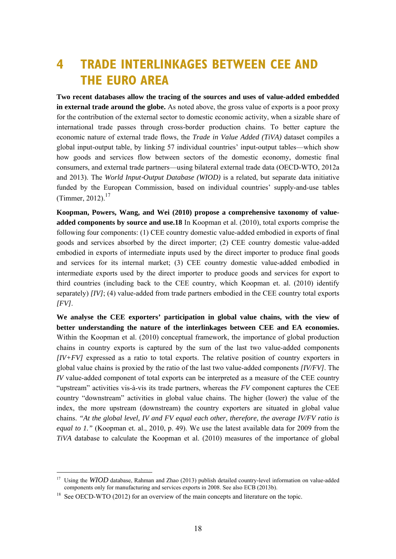# **4 TRADE INTERLINKAGES BETWEEN CEE AND THE EURO AREA**

**Two recent databases allow the tracing of the sources and uses of value-added embedded in external trade around the globe.** As noted above, the gross value of exports is a poor proxy for the contribution of the external sector to domestic economic activity, when a sizable share of international trade passes through cross-border production chains. To better capture the economic nature of external trade flows, the *Trade in Value Added (TiVA)* dataset compiles a global input-output table, by linking 57 individual countries' input-output tables—which show how goods and services flow between sectors of the domestic economy, domestic final consumers, and external trade partners—using bilateral external trade data (OECD-WTO, 2012a and 2013). The *World Input*‐*Output Database (WIOD)* is a related, but separate data initiative funded by the European Commission, based on individual countries' supply-and-use tables (Timmer, 2012).<sup>17</sup>

**Koopman, Powers, Wang, and Wei (2010) propose a comprehensive taxonomy of valueadded components by source and use.18** In Koopman et al. (2010), total exports comprise the following four components: (1) CEE country domestic value-added embodied in exports of final goods and services absorbed by the direct importer; (2) CEE country domestic value-added embodied in exports of intermediate inputs used by the direct importer to produce final goods and services for its internal market; (3) CEE country domestic value-added embodied in intermediate exports used by the direct importer to produce goods and services for export to third countries (including back to the CEE country, which Koopman et. al. (2010) identify separately) *[IV]*; (4) value-added from trade partners embodied in the CEE country total exports *[FV]*.

**We analyse the CEE exporters' participation in global value chains, with the view of better understanding the nature of the interlinkages between CEE and EA economies.**  Within the Koopman et al. (2010) conceptual framework, the importance of global production chains in country exports is captured by the sum of the last two value-added components *[IV+FV]* expressed as a ratio to total exports. The relative position of country exporters in global value chains is proxied by the ratio of the last two value-added components *[IV/FV]*. The *IV* value-added component of total exports can be interpreted as a measure of the CEE country "upstream" activities vis-à-vis its trade partners, whereas the *FV* component captures the CEE country "downstream" activities in global value chains. The higher (lower) the value of the index, the more upstream (downstream) the country exporters are situated in global value chains. *"At the global level, IV and FV equal each other, therefore, the average IV/FV ratio is equal to 1."* (Koopman et. al., 2010, p. 49). We use the latest available data for 2009 from the *TiVA* database to calculate the Koopman et al. (2010) measures of the importance of global

-

<sup>&</sup>lt;sup>17</sup> Using the *WIOD* database, Rahman and Zhao (2013) publish detailed country-level information on value-added components only for manufacturing and services exports in 2008. See also ECB (2013b).

<sup>&</sup>lt;sup>18</sup> See OECD-WTO (2012) for an overview of the main concepts and literature on the topic.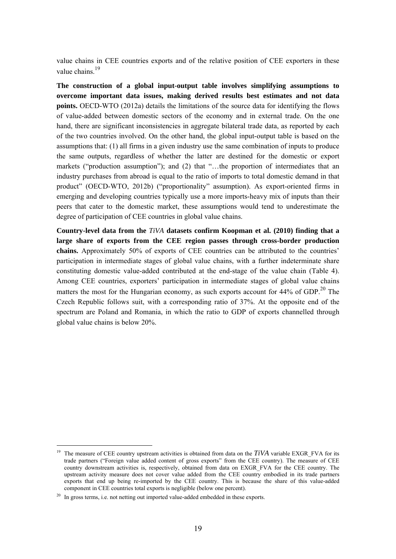value chains in CEE countries exports and of the relative position of CEE exporters in these value chains. $19$ 

**The construction of a global input-output table involves simplifying assumptions to overcome important data issues, making derived results best estimates and not data points.** OECD-WTO (2012a) details the limitations of the source data for identifying the flows of value-added between domestic sectors of the economy and in external trade. On the one hand, there are significant inconsistencies in aggregate bilateral trade data, as reported by each of the two countries involved. On the other hand, the global input-output table is based on the assumptions that: (1) all firms in a given industry use the same combination of inputs to produce the same outputs, regardless of whether the latter are destined for the domestic or export markets ("production assumption"); and (2) that "…the proportion of intermediates that an industry purchases from abroad is equal to the ratio of imports to total domestic demand in that product" (OECD-WTO, 2012b) ("proportionality" assumption). As export-oriented firms in emerging and developing countries typically use a more imports-heavy mix of inputs than their peers that cater to the domestic market, these assumptions would tend to underestimate the degree of participation of CEE countries in global value chains.

**Country-level data from the** *TiVA* **datasets confirm Koopman et al. (2010) finding that a large share of exports from the CEE region passes through cross-border production chains.** Approximately 50% of exports of CEE countries can be attributed to the countries' participation in intermediate stages of global value chains, with a further indeterminate share constituting domestic value-added contributed at the end-stage of the value chain (Table 4). Among CEE countries, exporters' participation in intermediate stages of global value chains matters the most for the Hungarian economy, as such exports account for  $44\%$  of GDP.<sup>20</sup> The Czech Republic follows suit, with a corresponding ratio of 37%. At the opposite end of the spectrum are Poland and Romania, in which the ratio to GDP of exports channelled through global value chains is below 20%.

<sup>&</sup>lt;sup>19</sup> The measure of CEE country upstream activities is obtained from data on the  $TiVA$  variable EXGR\_FVA for its trade partners ("Foreign value added content of gross exports" from the CEE country). The measure of CEE country downstream activities is, respectively, obtained from data on EXGR\_FVA for the CEE country. The upstream activity measure does not cover value added from the CEE country embodied in its trade partners exports that end up being re-imported by the CEE country. This is because the share of this value-added component in CEE countries total exports is negligible (below one percent).

<sup>&</sup>lt;sup>20</sup> In gross terms, i.e. not netting out imported value-added embedded in these exports.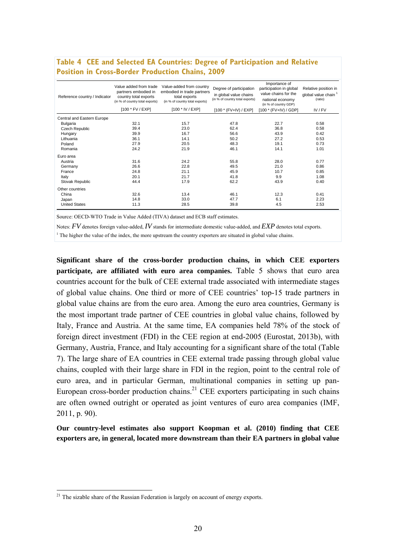| Reference country / Indicator | Value added from trade<br>partners embodied in<br>country total exports<br>(in % of country total exports) | Value-added from country<br>embodied in trade partners<br>total exports<br>(in % of country total exports) | Degree of participation<br>in global value chains<br>(in % of country total exports) | Importance of<br>participation in global<br>value chains for the<br>national economy<br>(in % of country GDP) | Relative position in<br>global value chain <sup>1</sup><br>(ratio) |
|-------------------------------|------------------------------------------------------------------------------------------------------------|------------------------------------------------------------------------------------------------------------|--------------------------------------------------------------------------------------|---------------------------------------------------------------------------------------------------------------|--------------------------------------------------------------------|
|                               | [100 * FV / EXP]                                                                                           | [100 * IV / EXP]                                                                                           | $[100 * (FV+IV) / EXP]$                                                              | [100 * (FV+IV) / GDP]                                                                                         | IV/FV                                                              |
| Central and Eastern Europe    |                                                                                                            |                                                                                                            |                                                                                      |                                                                                                               |                                                                    |
| Bulgaria                      | 32.1                                                                                                       | 15.7                                                                                                       | 47.8                                                                                 | 22.7                                                                                                          | 0.58                                                               |
| Czech Republic                | 39.4                                                                                                       | 23.0                                                                                                       | 62.4                                                                                 | 36.8                                                                                                          | 0.58                                                               |
| Hungary                       | 39.9                                                                                                       | 16.7                                                                                                       | 56.6                                                                                 | 43.9                                                                                                          | 0.42                                                               |
| Lithuania                     | 36.1                                                                                                       | 14.1                                                                                                       | 50.2                                                                                 | 27.2                                                                                                          | 0.53                                                               |
| Poland                        | 27.9                                                                                                       | 20.5                                                                                                       | 48.3                                                                                 | 19.1                                                                                                          | 0.73                                                               |
| Romania                       | 24.2                                                                                                       | 21.9                                                                                                       | 46.1                                                                                 | 14.1                                                                                                          | 1.01                                                               |
| Euro area                     |                                                                                                            |                                                                                                            |                                                                                      |                                                                                                               |                                                                    |
| Austria                       | 31.6                                                                                                       | 24.2                                                                                                       | 55.8                                                                                 | 28.0                                                                                                          | 0.77                                                               |
| Germany                       | 26.6                                                                                                       | 22.8                                                                                                       | 49.5                                                                                 | 21.0                                                                                                          | 0.86                                                               |
| France                        | 24.8                                                                                                       | 21.1                                                                                                       | 45.9                                                                                 | 10.7                                                                                                          | 0.85                                                               |
| Italy                         | 20.1                                                                                                       | 21.7                                                                                                       | 41.8                                                                                 | 9.9                                                                                                           | 1.08                                                               |
| Slovak Republic               | 44.4                                                                                                       | 17.9                                                                                                       | 62.2                                                                                 | 43.9                                                                                                          | 0.40                                                               |
| Other countries               |                                                                                                            |                                                                                                            |                                                                                      |                                                                                                               |                                                                    |
| China                         | 32.6                                                                                                       | 13.4                                                                                                       | 46.1                                                                                 | 12.3                                                                                                          | 0.41                                                               |
| Japan                         | 14.8                                                                                                       | 33.0                                                                                                       | 47.7                                                                                 | 6.1                                                                                                           | 2.23                                                               |
| <b>United States</b>          | 11.3                                                                                                       | 28.5                                                                                                       | 39.8                                                                                 | 4.5                                                                                                           | 2.53                                                               |

### **Table 4 CEE and Selected EA Countries: Degree of Participation and Relative Position in Cross-Border Production Chains, 2009**

Source: OECD-WTO Trade in Value Added (TIVA) dataset and ECB staff estimates.

Notes: *FV* denotes foreign value-added, *IV* stands for intermediate domestic value-added, and *EXP* denotes total exports.

<sup>1</sup> The higher the value of the index, the more upstream the country exporters are situated in global value chains.

**Significant share of the cross-border production chains, in which CEE exporters participate, are affiliated with euro area companies.** Table 5 shows that euro area countries account for the bulk of CEE external trade associated with intermediate stages of global value chains. One third or more of CEE countries' top-15 trade partners in global value chains are from the euro area. Among the euro area countries, Germany is the most important trade partner of CEE countries in global value chains, followed by Italy, France and Austria. At the same time, EA companies held 78% of the stock of foreign direct investment (FDI) in the CEE region at end-2005 (Eurostat, 2013b), with Germany, Austria, France, and Italy accounting for a significant share of the total (Table 7). The large share of EA countries in CEE external trade passing through global value chains, coupled with their large share in FDI in the region, point to the central role of euro area, and in particular German, multinational companies in setting up pan-European cross-border production chains.<sup>21</sup> CEE exporters participating in such chains are often owned outright or operated as joint ventures of euro area companies (IMF, 2011, p. 90).

**Our country-level estimates also support Koopman et al. (2010) finding that CEE exporters are, in general, located more downstream than their EA partners in global value** 

 $21$  The sizable share of the Russian Federation is largely on account of energy exports.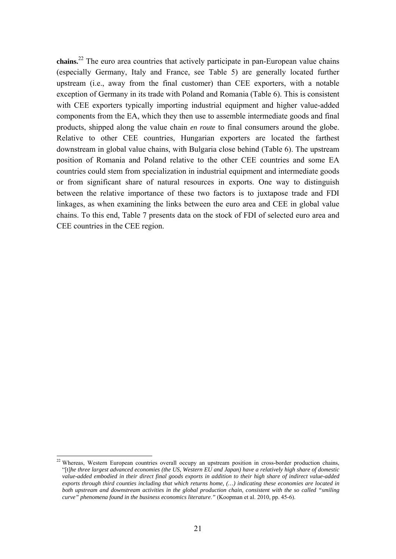**chains.**<sup>22</sup> The euro area countries that actively participate in pan-European value chains (especially Germany, Italy and France, see Table 5) are generally located further upstream (i.e., away from the final customer) than CEE exporters, with a notable exception of Germany in its trade with Poland and Romania (Table 6). This is consistent with CEE exporters typically importing industrial equipment and higher value-added components from the EA, which they then use to assemble intermediate goods and final products, shipped along the value chain *en route* to final consumers around the globe. Relative to other CEE countries, Hungarian exporters are located the farthest downstream in global value chains, with Bulgaria close behind (Table 6). The upstream position of Romania and Poland relative to the other CEE countries and some EA countries could stem from specialization in industrial equipment and intermediate goods or from significant share of natural resources in exports. One way to distinguish between the relative importance of these two factors is to juxtapose trade and FDI linkages, as when examining the links between the euro area and CEE in global value chains. To this end, Table 7 presents data on the stock of FDI of selected euro area and CEE countries in the CEE region.

Whereas, Western European countries overall occupy an upstream position in cross-border production chains, "[t]*he three largest advanced economies (the US, Western EU and Japan) have a relatively high share of domestic value-added embodied in their direct final goods exports in addition to their high share of indirect value-added exports through third counties including that which returns home, (…) indicating these economies are located in both upstream and downstream activities in the global production chain, consistent with the so called "smiling curve" phenomena found in the business economics literature*.*"* (Koopman et al. 2010, pp. 45-6).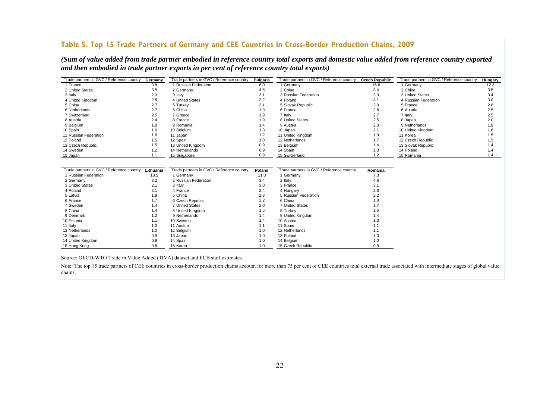### **Table 5. Top 15 Trade Partners of Germany and CEE Countries in Cross-Border Production Chains, 2009**

*(Sum of value added from trade partner embodied in reference country total exports and domestic value added from reference country exported and then embodied in trade partner exports in per cent of reference country total exports)* 

| Trade partners in GVC / Reference country | Germany   | Trade partners in GVC / Reference country | <b>Bulgaria</b> | Trade partners in GVC / Reference country | <b>Czech Republic</b> | Trade partners in GVC / Reference country | <b>Hungary</b> |
|-------------------------------------------|-----------|-------------------------------------------|-----------------|-------------------------------------------|-----------------------|-------------------------------------------|----------------|
| 1 France                                  | 3.8       | 1 Russian Federation                      | 6.0             | 1 Germany                                 | 15.6                  | 1 Germany                                 | 12.3           |
| 2 United States                           | 3.5       | 2 Germany                                 | 4.6             | 2 China                                   | 3.4                   | 2 China                                   | 3.5            |
| 3 Italy                                   | 2.9       | 3 Italy                                   | 3.1             | 3 Russian Federation                      | 3.3                   | 3 United States                           | 3.4            |
| 4 United Kingdom                          | 2.8       | 4 United States                           | 2.2             | 4 Poland                                  | 3.1                   | 4 Russian Federation                      | 3.0            |
| 5 China                                   | 2.7       | 5 Turkev                                  | 2.1             | 5 Slovak Republic                         | 3.0                   | 5 France                                  | 2.6            |
| 6 Netherlands                             | 2.7       | 6 China                                   | 1.9             | 6 France                                  | 2.8                   | 6 Austria                                 | 2.5            |
| 7 Switzerland                             | 2.5       | 7 Greece                                  | 1.9             | 7 Italy                                   | 2.7                   | 7 Italy                                   | 2.5            |
| 8 Austria                                 | 2.4       | 8 France                                  | 1.9             | 8 United States                           | 2.5                   | 8 Japan                                   | 2.0            |
| 9 Belgium                                 | 1.8       | 9 Romania                                 | 1.4             | 9 Austria                                 | 2.3                   | 9 Netherlands                             | 1.8            |
| 10 Spain                                  | 1.6       | 10 Belgium                                | 1.3             | 10 Japan                                  | 2.1                   | 10 United Kingdom                         | 1.8            |
| 11 Russian Federation                     | 1.6       | 11 Japan                                  | 1.2             | 11 United Kingdom                         | 1.9                   | 11 Korea                                  | 1.5            |
| 12 Poland                                 | 1.5       | 12 Spain                                  | 1.0             | 12 Netherlands                            | 1.7                   | 12 Czech Republic                         | 1.5            |
| 13 Czech Republic                         | 1.5       | 13 United Kingdom                         | 0.9             | 13 Belgium                                | 1.4                   | 13 Slovak Republic                        | 1.4            |
| 14 Sweden                                 | 1.2       | 14 Netherlands                            | 0.9             | 14 Spain                                  | 1.3                   | 14 Poland                                 | 1.4            |
| 15 Japan                                  | 1.1       | 15 Singapore                              | 0.9             | 15 Switzerland                            | 1.2                   | 15 Romania                                | 1.4            |
|                                           |           |                                           |                 |                                           |                       |                                           |                |
|                                           |           |                                           |                 |                                           |                       |                                           |                |
| Trade partners in GVC / Reference country | Lithuania | Trade partners in GVC / Reference country | Poland          | Trade partners in GVC / Reference country | Romania               |                                           |                |
| 1 Russian Federation                      | 18.5      | 1 Germany                                 | 11.0            | 1 Germany                                 | 7.3                   |                                           |                |
| 2 Germany                                 | 3.2       | 2 Russian Federation                      | 3.4             | 2 Italy                                   | 4.6                   |                                           |                |
| 3 United States                           | 2.1       | 3 Italy                                   | 3.0             | 3 France                                  | 3.1                   |                                           |                |
| 4 Poland                                  | 2.1       | 4 France                                  | 2.4             | 4 Hungary                                 | 2.6                   |                                           |                |
| 5 Latvia                                  | 1.9       | 5 China                                   | 2.3             |                                           |                       |                                           |                |
| 6 France                                  |           |                                           |                 | 5 Russian Federation                      | 2.2                   |                                           |                |
| 7 Sweden                                  | 1.7       | 6 Czech Republic                          | 2.2             | 6 China                                   | 1.8                   |                                           |                |
|                                           | 1.4       | 7 United States                           | 2.0             | 7 United States                           | 1.7                   |                                           |                |
| 8 China                                   | 1.4       | 8 United Kingdom                          | 1.6             | 8 Turkey                                  | 1.6                   |                                           |                |
| 9 Denmark                                 | 1.2       | 9 Netherlands                             | 1.4             | 9 United Kingdom                          | 1.4                   |                                           |                |
| 10 Estonia                                | 1.1       | 10 Sweden                                 | 1.4             | 10 Austria                                | 1.3                   |                                           |                |
| 11 Italy                                  | 1.0       | 11 Austria                                | 1.1             | 11 Spain                                  | 1.1                   |                                           |                |
| 12 Netherlands                            | 1.0       | 12 Belgium                                | 1.0             | 12 Netherlands                            | 1.1                   |                                           |                |
| 13 Japan                                  | 0.9       | 13 Japan                                  | 1.0             | 13 Poland                                 | 1.0                   |                                           |                |
| 14 United Kingdom                         | 0.9       | 14 Spain                                  | 1.0             | 14 Belgium                                | 1.0                   |                                           |                |

Source: OECD-WTO Trade in Value Added (TIVA) dataset and ECB staff estimates.

Note: The top 15 trade partners of CEE countries in cross-border production chains account for more than 75 per cent of CEE countries total external trade associated with intermediate stages of global value chains.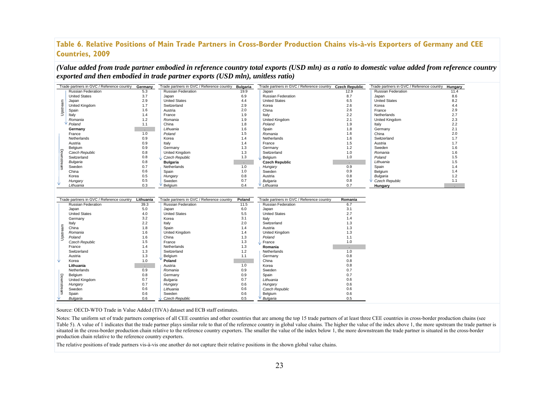### **Table 6. Relative Positions of Main Trade Partners in Cross-Border Production Chains vis-à-vis Exporters of Germany and CEE Countries, 2009**

*(Value added from trade partner embodied in reference country total exports (USD mln) as a ratio to domestic value added from reference country exported and then embodied in trade partner exports (USD mln), unitless ratio)* 

|                   | Trade partners in GVC / Reference country | Germany       | Trade partners in GVC / Reference country | <b>Bulgaria</b> | Trade partners in GVC / Reference country Czech Republic |               | Trade partners in GVC / Reference country | Hungary |
|-------------------|-------------------------------------------|---------------|-------------------------------------------|-----------------|----------------------------------------------------------|---------------|-------------------------------------------|---------|
|                   | Russian Federation                        | 5.3           | <b>Russian Federation</b>                 | 19.9            | Japan                                                    | 12.9          | Russian Federation                        | 11.4    |
|                   | <b>United States</b>                      | 3.7           | Japan                                     | 6.9             | <b>Russian Federation</b>                                | 8.7           | Japan                                     | 8.6     |
|                   | Japan                                     | 2.9           | <b>United States</b>                      | 4.4             | <b>United States</b>                                     | 6.5           | <b>United States</b>                      | 8.2     |
|                   | United Kingdom                            | 1.7           | Switzerland                               | 2.9             | Korea                                                    | 2.6           | Korea                                     | 4.4     |
| Upstream          | Spain                                     | 1.6           | Austria                                   | 2.0             | China                                                    | 2.6           | France                                    | 2.9     |
|                   | Italy                                     | 1.4           | France                                    | 1.9             | Italy                                                    | 2.2           | Netherlands                               | 2.7     |
|                   | Romania                                   | 1.2           | Romania                                   | 1.9             | United Kingdom                                           | 2.1           | United Kingdom                            | 2.3     |
|                   | Poland                                    | 1.1           | China                                     | 1.8             | Poland                                                   | 1.9           | Italy                                     | 2.2     |
|                   | Germany                                   |               | Lithuania                                 | 1.6             | Spain                                                    | 1.8           | Germany                                   | 2.1     |
|                   | France                                    | 1.0           | Poland                                    | 1.5             | Romania                                                  | 1.6           | China                                     | 2.0     |
|                   | Netherlands                               | 0.9           | Korea                                     | 1.4             | Netherlands                                              | 1.6           | Switzerland                               | 1.7     |
|                   | Austria                                   | 0.9           | Italy                                     | 1.4             | France                                                   | 1.5           | Austria                                   | 1.7     |
|                   | Belgium                                   | 0.9           | Germany                                   | 1.3             | Germany                                                  | 1.2           | Sweden                                    | 1.6     |
|                   | Czech Republic                            | 0.8           | United Kingdom                            | 1.3             | Switzerland                                              | 1.0           | Romania                                   | 1.6     |
|                   | Switzerland                               | 0.8           | Czech Republic                            | 1.3             | Belgium                                                  | 1.0           | Poland                                    | 1.5     |
| <b>Downstream</b> | Bulgaria                                  | 0.8           | <b>Bulgaria</b>                           |                 | <b>Czech Republic</b>                                    |               | Lithuania                                 | 1.5     |
|                   | Sweden                                    | 0.7           | Netherlands                               | $\sim$<br>1.0   | Hungary                                                  | $\sim$<br>0.9 | Spain                                     | 1.4     |
|                   | China                                     | 0.6           | Spain                                     | 1.0             | Sweden                                                   | 0.9           | Belgium                                   | 1.4     |
|                   |                                           |               |                                           |                 |                                                          |               |                                           |         |
|                   | Korea                                     | 0.5           | Hungary                                   | 0.8             | Austria                                                  | 0.8           | Bulgaria                                  | 1.2     |
|                   | Hungary                                   | 0.5           | Sweden                                    | 0.7             | Bulgaria                                                 | 0.8           | Czech Republic                            | 1.1     |
|                   | Lithuania                                 | 0.3           | Belgium                                   | 0.4             | Lithuania                                                | 0.7           | Hungary                                   |         |
|                   |                                           |               |                                           |                 |                                                          |               |                                           |         |
|                   | Trade partners in GVC / Reference country | Lithuania     | Trade partners in GVC / Reference country | Poland          | Trade partners in GVC / Reference country                | Romania       |                                           |         |
|                   | Russian Federation                        | 39.3          | <b>Russian Federation</b>                 | 11.5            | <b>Russian Federation</b>                                | 6.7           |                                           |         |
|                   | Japan                                     | 5.0           | Japan                                     | 6.0             | Japan                                                    | 3.1           |                                           |         |
|                   | <b>United States</b>                      | 4.0           | <b>United States</b>                      | 5.5             | <b>United States</b>                                     | 2.7           |                                           |         |
|                   | Germany                                   | 3.2           | Korea                                     | 3.1             | Italy                                                    | 1.4           |                                           |         |
|                   | Italy                                     | 2.2           | Italy                                     | 2.0             | Switzerland                                              | 1.3           |                                           |         |
|                   | China                                     | 1.8           | Spain                                     | 1.4             | Austria                                                  | 1.3           |                                           |         |
|                   | Romania                                   | 1.6           | United Kingdom                            | 1.4             | United Kingdom                                           | 1.3           |                                           |         |
| Upstream          | Poland                                    | 1.6           | China                                     | 1.3             | Poland                                                   | 1.1           |                                           |         |
|                   | Czech Republic                            | 1.5           | France                                    | 1.3             | France                                                   | 1.0           |                                           |         |
|                   | France                                    | 1.4           | Netherlands                               | 1.3             | Romania                                                  | ×.            |                                           |         |
|                   | Switzerland                               | 1.3           | Switzerland                               | 1.2             | Netherlands                                              | 1.0           |                                           |         |
|                   | Austria                                   | 1.3           | Belgium                                   | 1.1             | Germany                                                  | 0.8           |                                           |         |
|                   | Korea                                     | 1.0           | Poland                                    |                 | China                                                    | 0.8           |                                           |         |
|                   | Lithuania                                 |               | Austria                                   | $\sim$<br>1.0   | Korea                                                    | 0.8           |                                           |         |
|                   | Netherlands                               | $\sim$<br>0.9 | Romania                                   | 0.9             | Sweden                                                   | 0.7           |                                           |         |
|                   | Belgium                                   | 0.8           | Germany                                   | 0.9             | Spain                                                    | 0.7           |                                           |         |
|                   | United Kingdom                            | 0.7           |                                           | 0.7             | Lithuania                                                | 0.6           |                                           |         |
|                   |                                           | 0.7           | Bulgaria                                  | 0.6             |                                                          | 0.6           |                                           |         |
|                   | Hungary                                   |               | Hungary                                   |                 | Hungary                                                  |               |                                           |         |
| <b>Downstream</b> | Sweden                                    | 0.6           | Lithuania                                 | 0.6             | Czech Republic                                           | 0.6           |                                           |         |
|                   | Spain                                     | 0.6           | Sweden                                    | 0.6             | Belgium                                                  | 0.6           |                                           |         |
|                   | Bulgaria                                  | 0.6           | Czech Republic                            | 0.5             | Bulgaria                                                 | 0.5           |                                           |         |

Source: OECD-WTO Trade in Value Added (TIVA) dataset and ECB staff estimates.

Notes: The uniform set of trade partners comprises of all CEE countries and other countries that are among the top 15 trade partners of at least three CEE countries in cross-border production chains (see Table 5). A value of 1 indicates that the trade partner plays similar role to that of the reference country in global value chains. The higher the value of the index above 1, the more upstream the trade partner is situated in the cross-border production chain relative to the reference country exporters. The smaller the value of the index below 1, the more downstream the trade partner is situated in the cross-border production chain relative to the reference country exporters.

The relative positions of trade partners vis-à-vis one another do not capture their relative positions in the shown global value chains.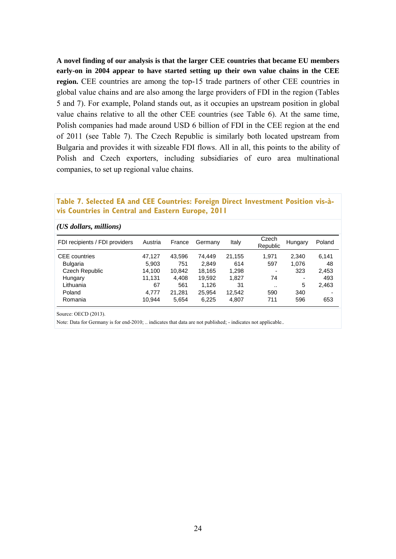**A novel finding of our analysis is that the larger CEE countries that became EU members early-on in 2004 appear to have started setting up their own value chains in the CEE region.** CEE countries are among the top-15 trade partners of other CEE countries in global value chains and are also among the large providers of FDI in the region (Tables 5 and 7). For example, Poland stands out, as it occupies an upstream position in global value chains relative to all the other CEE countries (see Table 6). At the same time, Polish companies had made around USD 6 billion of FDI in the CEE region at the end of 2011 (see Table 7). The Czech Republic is similarly both located upstream from Bulgaria and provides it with sizeable FDI flows. All in all, this points to the ability of Polish and Czech exporters, including subsidiaries of euro area multinational companies, to set up regional value chains.

#### **Table 7. Selected EA and CEE Countries: Foreign Direct Investment Position vis-àvis Countries in Central and Eastern Europe, 2011**

| (US dollars, millions)         |         |        |         |        |                   |         |        |
|--------------------------------|---------|--------|---------|--------|-------------------|---------|--------|
| FDI recipients / FDI providers | Austria | France | Germany | Italy  | Czech<br>Republic | Hungary | Poland |
| <b>CEE</b> countries           | 47,127  | 43,596 | 74.449  | 21,155 | 1,971             | 2,340   | 6,141  |
| <b>Bulgaria</b>                | 5,903   | 751    | 2.849   | 614    | 597               | 1,076   | 48     |
| Czech Republic                 | 14,100  | 10,842 | 18.165  | 1,298  | -                 | 323     | 2,453  |
| Hungary                        | 11.131  | 4.408  | 19.592  | 1.827  | 74                | ٠       | 493    |
| Lithuania                      | 67      | 561    | 1.126   | 31     |                   | 5       | 2,463  |
| Poland                         | 4,777   | 21.281 | 25,954  | 12,542 | 590               | 340     |        |
| Romania                        | 10.944  | 5,654  | 6,225   | 4,807  | 711               | 596     | 653    |

Source: OECD (2013).

Note: Data for Germany is for end-2010; .. indicates that data are not published; - indicates not applicable..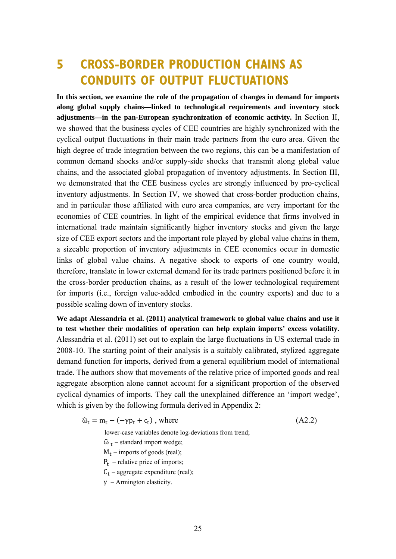# **5 CROSS-BORDER PRODUCTION CHAINS AS CONDUITS OF OUTPUT FLUCTUATIONS**

**In this section, we examine the role of the propagation of changes in demand for imports along global supply chains—linked to technological requirements and inventory stock adjustments—in the pan-European synchronization of economic activity.** In Section II, we showed that the business cycles of CEE countries are highly synchronized with the cyclical output fluctuations in their main trade partners from the euro area. Given the high degree of trade integration between the two regions, this can be a manifestation of common demand shocks and/or supply-side shocks that transmit along global value chains, and the associated global propagation of inventory adjustments. In Section III, we demonstrated that the CEE business cycles are strongly influenced by pro-cyclical inventory adjustments. In Section IV, we showed that cross-border production chains, and in particular those affiliated with euro area companies, are very important for the economies of CEE countries. In light of the empirical evidence that firms involved in international trade maintain significantly higher inventory stocks and given the large size of CEE export sectors and the important role played by global value chains in them, a sizeable proportion of inventory adjustments in CEE economies occur in domestic links of global value chains. A negative shock to exports of one country would, therefore, translate in lower external demand for its trade partners positioned before it in the cross-border production chains, as a result of the lower technological requirement for imports (i.e., foreign value-added embodied in the country exports) and due to a possible scaling down of inventory stocks.

**We adapt Alessandria et al. (2011) analytical framework to global value chains and use it to test whether their modalities of operation can help explain imports' excess volatility.**  Alessandria et al. (2011) set out to explain the large fluctuations in US external trade in 2008-10. The starting point of their analysis is a suitably calibrated, stylized aggregate demand function for imports, derived from a general equilibrium model of international trade. The authors show that movements of the relative price of imported goods and real aggregate absorption alone cannot account for a significant proportion of the observed cyclical dynamics of imports. They call the unexplained difference an 'import wedge', which is given by the following formula derived in Appendix 2:

$$
\hat{\omega}_t = m_t - (-\gamma p_t + c_t), \text{ where} \tag{A2.2}
$$

lower-case variables denote log-deviations from trend;

- $\widehat{\omega}_t$  standard import wedge;
- $M_t$  imports of goods (real);
- $P_t$  relative price of imports;
- $C_t$  aggregate expenditure (real);
- $\gamma$  Armington elasticity.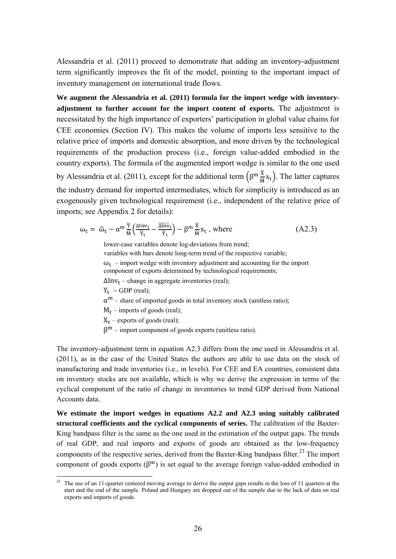Alessandria et al. (2011) proceed to demonstrate that adding an inventory-adjustment term significantly improves the fit of the model, pointing to the important impact of inventory management on international trade flows.

**We augment the Alessandria et al. (2011) formula for the import wedge with inventoryadjustment to further account for the import content of exports.** The adjustment is necessitated by the high importance of exporters' participation in global value chains for CEE economies (Section IV). This makes the volume of imports less sensitive to the relative price of imports and domestic absorption, and more driven by the technological requirements of the production process (i.e., foreign value-added embodied in the country exports). The formula of the augmented import wedge is similar to the one used by Alessandria et al. (2011), except for the additional term  $(\beta^m \frac{\overline{x}}{M} x_t)$ . The latter captures the industry demand for imported intermediates, which for simplicity is introduced as an exogenously given technological requirement (i.e., independent of the relative price of imports; see Appendix 2 for details):

$$
\omega_t = \hat{\omega}_t - \alpha^m \frac{\overline{Y}}{\overline{M}} \Big( \frac{\Delta \text{Inv}_t}{\overline{Y}_t} - \frac{\overline{\Delta \text{Inv}}_t}{\overline{Y}_t} \Big) - \beta^m \frac{\overline{X}}{\overline{M}} x_t \text{ , where } \tag{A2.3}
$$

lower-case variables denote log-deviations from trend; variables with bars denote long-term trend of the respective variable;

 $\omega_t$  – import wedge with inventory adjustment and accounting for the import

component of exports determined by technological requirements;

 $\Delta Inv_t$  – change in aggregate inventories (real);

 $Y_t$  – GDP (real);

 $\alpha^{m}$  – share of imported goods in total inventory stock (unitless ratio);

 $M_t$  – imports of goods (real);

 $X_t$  – exports of goods (real);

 $β<sup>m</sup>$  – import component of goods exports (unitless ratio).

The inventory-adjustment term in equation A2.3 differs from the one used in Alessandria et al. (2011), as in the case of the United States the authors are able to use data on the stock of manufacturing and trade inventories (i.e., in levels). For CEE and EA countries, consistent data on inventory stocks are not available, which is why we derive the expression in terms of the cyclical component of the ratio of change in inventories to trend GDP derived from National Accounts data.

**We estimate the import wedges in equations A2.2 and A2.3 using suitably calibrated structural coefficients and the cyclical components of series.** The calibration of the Baxter-King bandpass filter is the same as the one used in the estimation of the output gaps. The trends of real GDP, and real imports and exports of goods are obtained as the low-frequency components of the respective series, derived from the Baxter-King bandpass filter.<sup>23</sup> The import component of goods exports  $(\beta^{m})$  is set equal to the average foreign value-added embodied in

<sup>1</sup> <sup>23</sup> The use of an 11-quarter centered moving average to derive the output gaps results in the loss of 11 quarters at the start and the end of the sample. Poland and Hungary are dropped out of the sample due to the lack of data on real exports and imports of goods.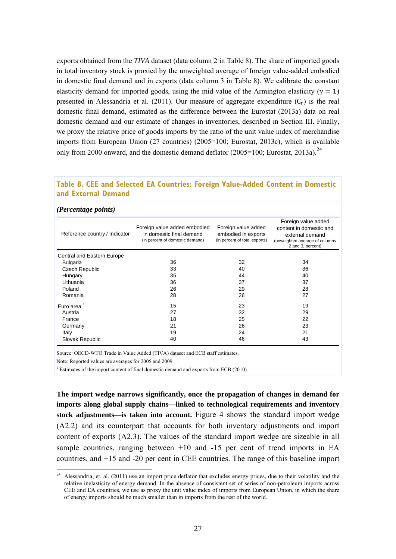exports obtained from the *TIVA* dataset (data column 2 in Table 8). The share of imported goods in total inventory stock is proxied by the unweighted average of foreign value-added embodied in domestic final demand and in exports (data column 3 in Table 8). We calibrate the constant elasticity demand for imported goods, using the mid-value of the Armington elasticity ( $\gamma = 1$ ) presented in Alessandria et al. (2011). Our measure of aggregate expenditure  $(C_t)$  is the real domestic final demand, estimated as the difference between the Eurostat (2013a) data on real domestic demand and our estimate of changes in inventories, described in Section III. Finally, we proxy the relative price of goods imports by the ratio of the unit value index of merchandise imports from European Union (27 countries) (2005=100; Eurostat, 2013c), which is available only from 2000 onward, and the domestic demand deflator (2005=100; Eurostat, 2013a).<sup>24</sup>

#### **Table 8. CEE and Selected EA Countries: Foreign Value-Added Content in Domestic and External Demand**

#### *(Percentage points)*

1

| Reference country / Indicator | Foreign value added embodied<br>in domestic final demand<br>(in percent of domestic demand) | Foreign value added<br>embodied in exports<br>(in percent of total exports) | Foreign value added<br>content in domestic and<br>external demand<br>(unweighted average of columns<br>2 and 3, percent) |
|-------------------------------|---------------------------------------------------------------------------------------------|-----------------------------------------------------------------------------|--------------------------------------------------------------------------------------------------------------------------|
| Central and Eastern Europe    |                                                                                             |                                                                             |                                                                                                                          |
| <b>Bulgaria</b>               | 36                                                                                          | 32                                                                          | 34                                                                                                                       |
| Czech Republic                | 33                                                                                          | 40                                                                          | 36                                                                                                                       |
| Hungary                       | 35                                                                                          | 44                                                                          | 40                                                                                                                       |
| Lithuania                     | 36                                                                                          | 37                                                                          | 37                                                                                                                       |
| Poland                        | 26                                                                                          | 29                                                                          | 28                                                                                                                       |
| Romania                       | 28                                                                                          | 26                                                                          | 27                                                                                                                       |
| Euro area $1$                 | 15                                                                                          | 23                                                                          | 19                                                                                                                       |
| Austria                       | 27                                                                                          | 32                                                                          | 29                                                                                                                       |
| France                        | 18                                                                                          | 25                                                                          | 22                                                                                                                       |
| Germany                       | 21                                                                                          | 26                                                                          | 23                                                                                                                       |
| Italy                         | 19                                                                                          | 24                                                                          | 21                                                                                                                       |
| Slovak Republic               | 40                                                                                          | 46                                                                          | 43                                                                                                                       |

Source: OECD-WTO Trade in Value Added (TIVA) dataset and ECB staff estimates.

Note: Reported values are averages for 2005 and 2009.

<sup>1</sup> Estimates of the import content of final domestic demand and exports from ECB (2010).

**The import wedge narrows significantly, once the propagation of changes in demand for imports along global supply chains—linked to technological requirements and inventory stock adjustments—is taken into account.** Figure 4 shows the standard import wedge (A2.2) and its counterpart that accounts for both inventory adjustments and import content of exports (A2.3). The values of the standard import wedge are sizeable in all sample countries, ranging between +10 and -15 per cent of trend imports in EA countries, and +15 and -20 per cent in CEE countries. The range of this baseline import

 $24$  Alessandria, et. al. (2011) use an import price deflator that excludes energy prices, due to their volatility and the relative inelasticity of energy demand. In the absence of consistent set of series of non-petroleum imports across CEE and EA countries, we use as proxy the unit value index of imports from European Union, in which the share of energy imports should be much smaller than in imports from the rest of the world.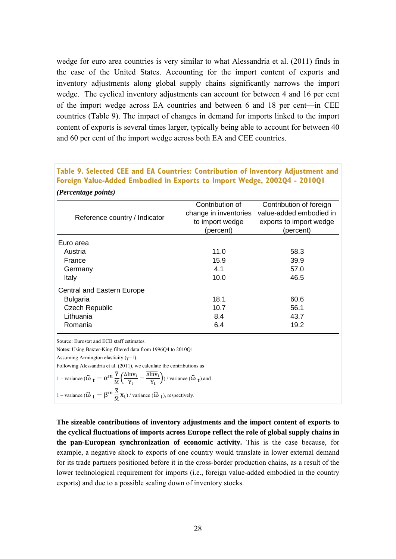wedge for euro area countries is very similar to what Alessandria et al. (2011) finds in the case of the United States. Accounting for the import content of exports and inventory adjustments along global supply chains significantly narrows the import wedge. The cyclical inventory adjustments can account for between 4 and 16 per cent of the import wedge across EA countries and between 6 and 18 per cent—in CEE countries (Table 9). The impact of changes in demand for imports linked to the import content of exports is several times larger, typically being able to account for between 40 and 60 per cent of the import wedge across both EA and CEE countries.

### **Table 9. Selected CEE and EA Countries: Contribution of Inventory Adjustment and Foreign Value-Added Embodied in Exports to Import Wedge, 2002Q4 - 2010Q1**  *(Percentage points)*

| Reference country / Indicator | Contribution of<br>change in inventories<br>to import wedge<br>(percent) | Contribution of foreign<br>value-added embodied in<br>exports to import wedge<br>(percent) |
|-------------------------------|--------------------------------------------------------------------------|--------------------------------------------------------------------------------------------|
| Euro area                     |                                                                          |                                                                                            |
| Austria                       | 11.0                                                                     | 58.3                                                                                       |
| France                        | 15.9                                                                     | 39.9                                                                                       |
| Germany                       | 4.1                                                                      | 57.0                                                                                       |
| Italy                         | 10.0                                                                     | 46.5                                                                                       |
| Central and Eastern Europe    |                                                                          |                                                                                            |
| <b>Bulgaria</b>               | 18.1                                                                     | 60.6                                                                                       |
| <b>Czech Republic</b>         | 10.7                                                                     | 56.1                                                                                       |
| Lithuania                     | 8.4                                                                      | 43.7                                                                                       |
| Romania                       | 6.4                                                                      | 19.2                                                                                       |

Source: Eurostat and ECB staff estimates.

Notes: Using Baxter-King filtered data from 1996Q4 to 2010Q1.

Assuming Armington elasticity  $(\gamma=1)$ .

Following Alessandria et al. (2011), we calculate the contributions as

1 - variance 
$$
(\widehat{\omega}_t - \alpha^m \frac{\overline{Y}}{\overline{M}} \left( \frac{\Delta \text{Inv}_t}{\overline{Y}_t} - \frac{\overline{\Delta \text{Inv}}_t}{\overline{Y}_t} \right)) / \text{ variance } (\widehat{\omega}_t) \text{ and}
$$
  
1 - variance  $(\widehat{\omega}_t - \beta^m \frac{\overline{X}}{\overline{M}} X_t) / \text{ variance } (\widehat{\omega}_t)$ , respectively.

**The sizeable contributions of inventory adjustments and the import content of exports to the cyclical fluctuations of imports across Europe reflect the role of global supply chains in the pan-European synchronization of economic activity.** This is the case because, for example, a negative shock to exports of one country would translate in lower external demand for its trade partners positioned before it in the cross-border production chains, as a result of the lower technological requirement for imports (i.e., foreign value-added embodied in the country exports) and due to a possible scaling down of inventory stocks.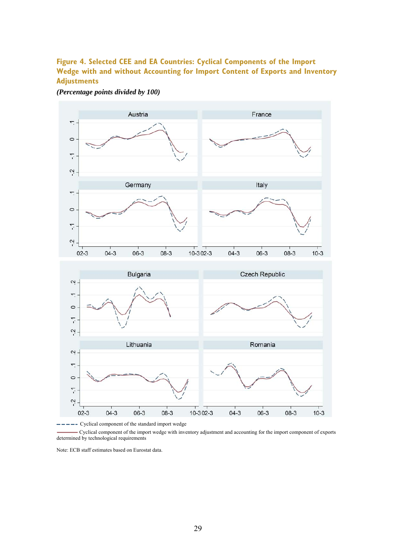### **Figure 4. Selected CEE and EA Countries: Cyclical Components of the Import Wedge with and without Accounting for Import Content of Exports and Inventory Adjustments**

*(Percentage points divided by 100)* 



- Cyclical component of the standard import wedge

 Cyclical component of the import wedge with inventory adjustment and accounting for the import component of exports determined by technological requirements

Note: ECB staff estimates based on Eurostat data.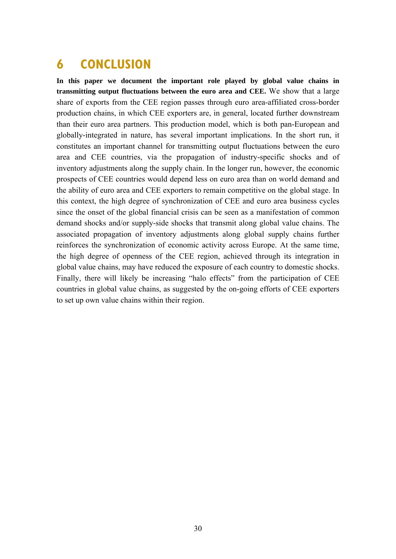# **6 CONCLUSION**

**In this paper we document the important role played by global value chains in transmitting output fluctuations between the euro area and CEE.** We show that a large share of exports from the CEE region passes through euro area-affiliated cross-border production chains, in which CEE exporters are, in general, located further downstream than their euro area partners. This production model, which is both pan-European and globally-integrated in nature, has several important implications. In the short run, it constitutes an important channel for transmitting output fluctuations between the euro area and CEE countries, via the propagation of industry-specific shocks and of inventory adjustments along the supply chain. In the longer run, however, the economic prospects of CEE countries would depend less on euro area than on world demand and the ability of euro area and CEE exporters to remain competitive on the global stage. In this context, the high degree of synchronization of CEE and euro area business cycles since the onset of the global financial crisis can be seen as a manifestation of common demand shocks and/or supply-side shocks that transmit along global value chains. The associated propagation of inventory adjustments along global supply chains further reinforces the synchronization of economic activity across Europe. At the same time, the high degree of openness of the CEE region, achieved through its integration in global value chains, may have reduced the exposure of each country to domestic shocks. Finally, there will likely be increasing "halo effects" from the participation of CEE countries in global value chains, as suggested by the on-going efforts of CEE exporters to set up own value chains within their region.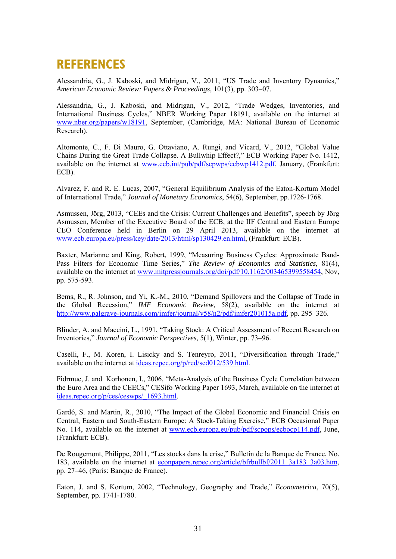## **REFERENCES**

Alessandria, G., J. Kaboski, and Midrigan, V., 2011, "US Trade and Inventory Dynamics," *American Economic Review: Papers & Proceedings*, 101(3), pp. 303–07.

Alessandria, G., J. Kaboski, and Midrigan, V., 2012, "Trade Wedges, Inventories, and International Business Cycles," NBER Working Paper 18191, available on the internet at www.nber.org/papers/w18191, September, (Cambridge, MA: National Bureau of Economic Research).

Altomonte, C., F. Di Mauro, G. Ottaviano, A. Rungi, and Vicard, V., 2012, "Global Value Chains During the Great Trade Collapse. A Bullwhip Effect?," ECB Working Paper No. 1412, available on the internet at www.ecb.int/pub/pdf/scpwps/ecbwp1412.pdf, January, (Frankfurt: ECB).

Alvarez, F. and R. E. Lucas, 2007, "General Equilibrium Analysis of the Eaton-Kortum Model of International Trade," *Journal of Monetary Economics*, 54(6), September, pp.1726-1768.

Asmussen, Jörg, 2013, "CEEs and the Crisis: Current Challenges and Benefits", speech by Jörg Asmussen, Member of the Executive Board of the ECB, at the IIF Central and Eastern Europe CEO Conference held in Berlin on 29 April 2013, available on the internet at www.ecb.europa.eu/press/key/date/2013/html/sp130429.en.html, (Frankfurt: ECB).

Baxter, Marianne and King, Robert, 1999, "Measuring Business Cycles: Approximate Band-Pass Filters for Economic Time Series," *The Review of Economics and Statistics*, 81(4), available on the internet at www.mitpressjournals.org/doi/pdf/10.1162/003465399558454, Nov, pp. 575-593.

Bems, R., R. Johnson, and Yi, K.-M., 2010, "Demand Spillovers and the Collapse of Trade in the Global Recession," *IMF Economic Review*, 58(2), available on the internet at http://www.palgrave-journals.com/imfer/journal/v58/n2/pdf/imfer201015a.pdf, pp. 295–326.

Blinder, A. and Maccini, L., 1991, "Taking Stock: A Critical Assessment of Recent Research on Inventories," *Journal of Economic Perspectives*, 5(1), Winter, pp. 73–96.

Caselli, F., M. Koren, I. Lisicky and S. Tenreyro, 2011, "Diversification through Trade," available on the internet at ideas.repec.org/p/red/sed012/539.html.

Fidrmuc, J. and Korhonen, I., 2006, "Meta-Analysis of the Business Cycle Correlation between the Euro Area and the CEECs," CESifo Working Paper 1693, March, available on the internet at ideas.repec.org/p/ces/ceswps/\_1693.html.

Gardó, S. and Martin, R., 2010, "The Impact of the Global Economic and Financial Crisis on Central, Eastern and South-Eastern Europe: A Stock-Taking Exercise," ECB Occasional Paper No. 114, available on the internet at www.ecb.europa.eu/pub/pdf/scpops/ecbocp114.pdf, June, (Frankfurt: ECB).

De Rougemont, Philippe, 2011, "Les stocks dans la crise," Bulletin de la Banque de France, No. 183, available on the internet at econpapers.repec.org/article/bfrbullbf/2011\_3a183\_3a03.htm, pp. 27–46, (Paris: Banque de France).

Eaton, J. and S. Kortum, 2002, "Technology, Geography and Trade," *Econometrica*, 70(5), September, pp. 1741-1780.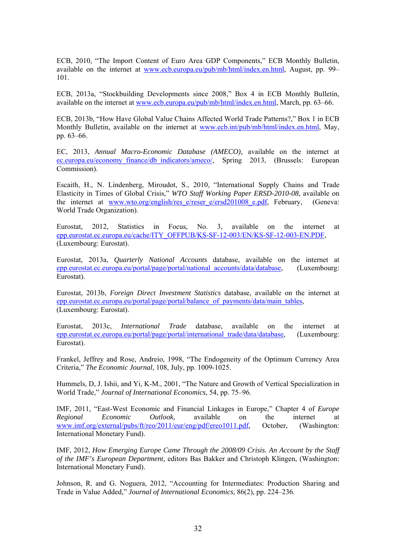ECB, 2010, "The Import Content of Euro Area GDP Components," ECB Monthly Bulletin, available on the internet at www.ecb.europa.eu/pub/mb/html/index.en.html, August, pp. 99– 101.

ECB, 2013a, "Stockbuilding Developments since 2008," Box 4 in ECB Monthly Bulletin, available on the internet at www.ecb.europa.eu/pub/mb/html/index.en.html, March, pp. 63–66.

ECB, 2013b, "How Have Global Value Chains Affected World Trade Patterns?," Box 1 in ECB Monthly Bulletin, available on the internet at www.ecb.int/pub/mb/html/index.en.html, May, pp. 63–66.

EC, 2013, *Annual Macro-Economic Database (AMECO),* available on the internet at ec.europa.eu/economy\_finance/db\_indicators/ameco/, Spring 2013, (Brussels: European Commission).

Escaith, H., N. Lindenberg, Miroudot, S., 2010, "International Supply Chains and Trade Elasticity in Times of Global Crisis," *WTO Staff Working Paper ERSD-2010-08*, available on the internet at www.wto.org/english/res e/reser e/ersd201008 e.pdf, February, (Geneva: World Trade Organization).

Eurostat, 2012, Statistics in Focus, No. 3, available on the internet at epp.eurostat.ec.europa.eu/cache/ITY\_OFFPUB/KS-SF-12-003/EN/KS-SF-12-003-EN.PDF, (Luxembourg: Eurostat).

Eurostat, 2013a, *Quarterly National Accounts* database, available on the internet at epp.eurostat.ec.europa.eu/portal/page/portal/national\_accounts/data/database, (Luxembourg: Eurostat).

Eurostat, 2013b, *Foreign Direct Investment Statistics* database, available on the internet at epp.eurostat.ec.europa.eu/portal/page/portal/balance\_of\_payments/data/main\_tables, (Luxembourg: Eurostat).

Eurostat, 2013c, *International Trade* database, available on the internet at epp.eurostat.ec.europa.eu/portal/page/portal/international\_trade/data/database, (Luxembourg: Eurostat).

Frankel, Jeffrey and Rose, Andreio, 1998, "The Endogeneity of the Optimum Currency Area Criteria," *The Economic Journal*, 108, July, pp. 1009-1025.

Hummels, D, J. Ishii, and Yi, K-M., 2001, "The Nature and Growth of Vertical Specialization in World Trade," *Journal of International Economics*, 54, pp. 75–96.

IMF, 2011, "East-West Economic and Financial Linkages in Europe," Chapter 4 of *Europe Regional Economic Outlook*, available on the internet at www.imf.org/external/pubs/ft/reo/2011/eur/eng/pdf/ereo1011.pdf, October, (Washington: International Monetary Fund).

IMF, 2012, *How Emerging Europe Came Through the 2008/09 Crisis. An Account by the Staff of the IMF's European Department*, editors Bas Bakker and Christoph Klingen, (Washington: International Monetary Fund).

Johnson, R. and G. Noguera, 2012, "Accounting for Intermediates: Production Sharing and Trade in Value Added," *Journal of International Economics*, 86(2), pp. 224–236.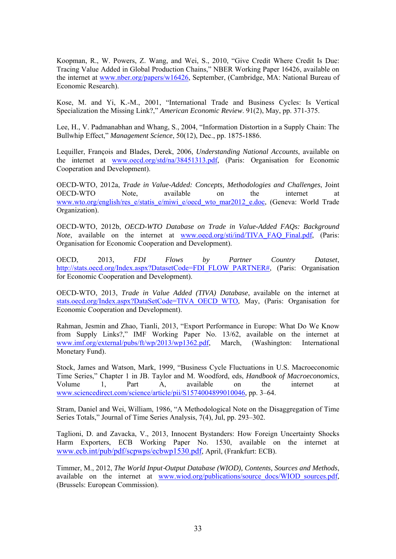Koopman, R., W. Powers, Z. Wang, and Wei, S., 2010, "Give Credit Where Credit Is Due: Tracing Value Added in Global Production Chains," NBER Working Paper 16426, available on the internet at www.nber.org/papers/w16426, September, (Cambridge, MA: National Bureau of Economic Research).

Kose, M. and Yi, K.-M., 2001, "International Trade and Business Cycles: Is Vertical Specialization the Missing Link?," *American Economic Review*. 91(2), May, pp. 371-375.

Lee, H., V. Padmanabhan and Whang, S., 2004, "Information Distortion in a Supply Chain: The Bullwhip Effect," *Management Science*, 50(12), Dec., pp. 1875-1886.

Lequiller, François and Blades, Derek, 2006, *Understanding National Accounts*, available on the internet at www.oecd.org/std/na/38451313.pdf, (Paris: Organisation for Economic Cooperation and Development).

OECD-WTO, 2012a, *Trade in Value-Added: Concepts, Methodologies and Challenges*, Joint OECD-WTO Note, available on the internet at www.wto.org/english/res\_e/statis\_e/miwi\_e/oecd\_wto\_mar2012\_e.doc, (Geneva: World Trade Organization).

OECD-WTO, 2012b, *OECD-WTO Database on Trade in Value-Added FAQs: Background Note*, available on the internet at www.oecd.org/sti/ind/TIVA\_FAQ\_Final.pdf, (Paris: Organisation for Economic Cooperation and Development).

OECD, 2013, *FDI Flows by Partner Country Dataset*, http://stats.oecd.org/Index.aspx?DatasetCode=FDI\_FLOW\_PARTNER#, (Paris: Organisation for Economic Cooperation and Development).

OECD-WTO, 2013, *Trade in Value Added (TIVA) Database*, available on the internet at stats.oecd.org/Index.aspx?DataSetCode=TIVA\_OECD\_WTO, May, (Paris: Organisation for Economic Cooperation and Development).

Rahman, Jesmin and Zhao, Tianli, 2013, "Export Performance in Europe: What Do We Know from Supply Links?," IMF Working Paper No. 13/62, available on the internet at www.imf.org/external/pubs/ft/wp/2013/wp1362.pdf, March, (Washington: International Monetary Fund).

Stock, James and Watson, Mark, 1999, "Business Cycle Fluctuations in U.S. Macroeconomic Time Series," Chapter 1 in JB. Taylor and M. Woodford, eds, *Handbook of Macroeconomics*, Volume 1, Part A, available on the internet at www.sciencedirect.com/science/article/pii/S1574004899010046, pp. 3–64.

Stram, Daniel and Wei, William, 1986, "A Methodological Note on the Disaggregation of Time Series Totals," Journal of Time Series Analysis, 7(4), Jul, pp. 293–302.

Taglioni, D. and Zavacka, V., 2013, Innocent Bystanders: How Foreign Uncertainty Shocks Harm Exporters, ECB Working Paper No. 1530, available on the internet at www.ecb.int/pub/pdf/scpwps/ecbwp1530.pdf, April, (Frankfurt: ECB).

Timmer, M., 2012, *The World Input*‐*Output Database (WIOD), Contents, Sources and Methods*, available on the internet at www.wiod.org/publications/source\_docs/WIOD\_sources.pdf, (Brussels: European Commission).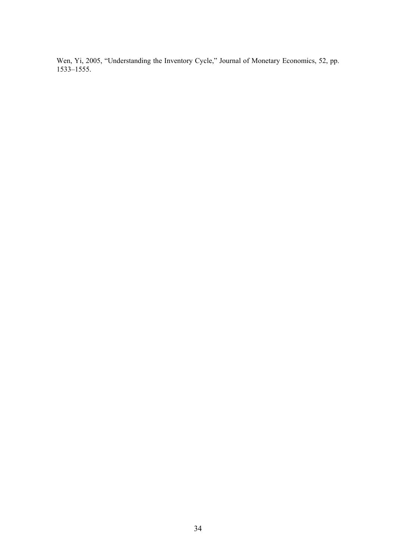Wen, Yi, 2005, "Understanding the Inventory Cycle," Journal of Monetary Economics, 52, pp. 1533–1555.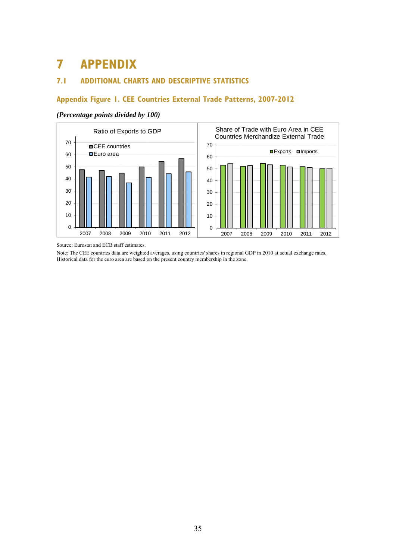# **7 APPENDIX**

### **7.1 ADDITIONAL CHARTS AND DESCRIPTIVE STATISTICS**

### **Appendix Figure 1. CEE Countries External Trade Patterns, 2007-2012**

#### *(Percentage points divided by 100)*



Source: Eurostat and ECB staff estimates.

Note: The CEE countries data are weighted averages, using countries' shares in regional GDP in 2010 at actual exchange rates. Historical data for the euro area are based on the present country membership in the zone.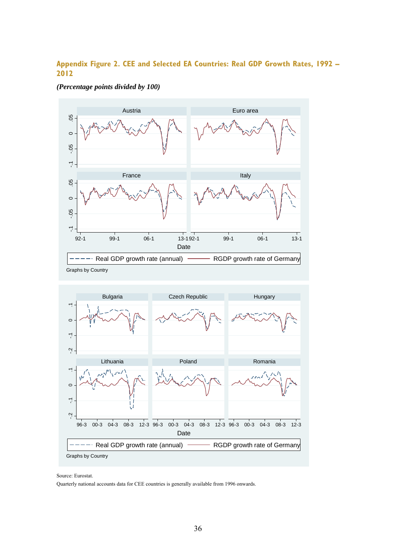### **Appendix Figure 2. CEE and Selected EA Countries: Real GDP Growth Rates, 1992 – 2012**







Source: Eurostat.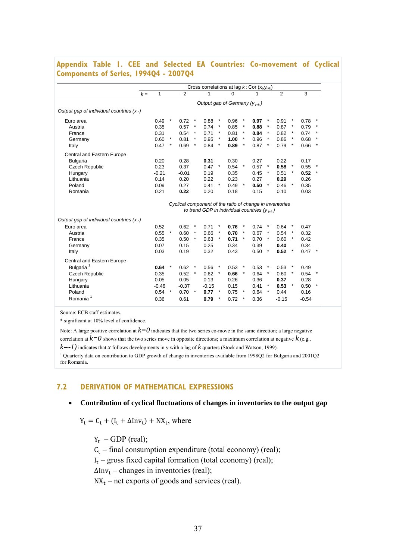### **Appendix Table 1. CEE and Selected EA Countries: Co-movement of Cyclical Components of Series, 1994Q4 - 2007Q4**

| 0.91<br>$\ast$<br>0.87<br>$\ast$<br>$\star$<br>0.82<br>$\star$<br>0.86<br>$\pmb{\ast}$                       | 3<br>0.78<br>0.79<br>0.74                                                                                                               | $\ast$<br>$\ast$ |  |  |  |  |
|--------------------------------------------------------------------------------------------------------------|-----------------------------------------------------------------------------------------------------------------------------------------|------------------|--|--|--|--|
|                                                                                                              |                                                                                                                                         |                  |  |  |  |  |
|                                                                                                              |                                                                                                                                         |                  |  |  |  |  |
|                                                                                                              |                                                                                                                                         |                  |  |  |  |  |
|                                                                                                              |                                                                                                                                         |                  |  |  |  |  |
|                                                                                                              |                                                                                                                                         |                  |  |  |  |  |
|                                                                                                              |                                                                                                                                         | $\star$          |  |  |  |  |
|                                                                                                              | 0.68                                                                                                                                    | $\star$          |  |  |  |  |
| 0.79                                                                                                         | 0.66                                                                                                                                    | $\ast$           |  |  |  |  |
|                                                                                                              |                                                                                                                                         |                  |  |  |  |  |
|                                                                                                              | 0.17                                                                                                                                    |                  |  |  |  |  |
| $\ast$                                                                                                       | 0.55                                                                                                                                    |                  |  |  |  |  |
| $\ast$                                                                                                       | 0.52                                                                                                                                    | $\ast$           |  |  |  |  |
|                                                                                                              | 0.26                                                                                                                                    |                  |  |  |  |  |
| $\star$                                                                                                      | 0.35                                                                                                                                    |                  |  |  |  |  |
|                                                                                                              | 0.03                                                                                                                                    |                  |  |  |  |  |
|                                                                                                              |                                                                                                                                         |                  |  |  |  |  |
| Cyclical component of the ratio of change in inventories<br>to trend GDP in individual countries $(y_{t+k})$ |                                                                                                                                         |                  |  |  |  |  |
|                                                                                                              |                                                                                                                                         |                  |  |  |  |  |
| $\ast$                                                                                                       | 0.47                                                                                                                                    |                  |  |  |  |  |
|                                                                                                              | 0.32                                                                                                                                    |                  |  |  |  |  |
|                                                                                                              | 0.42                                                                                                                                    |                  |  |  |  |  |
|                                                                                                              | 0.34                                                                                                                                    |                  |  |  |  |  |
| $\star$                                                                                                      | $0.47$ *                                                                                                                                |                  |  |  |  |  |
|                                                                                                              |                                                                                                                                         |                  |  |  |  |  |
| $\ast$                                                                                                       | 0.49                                                                                                                                    |                  |  |  |  |  |
|                                                                                                              | 0.54                                                                                                                                    |                  |  |  |  |  |
|                                                                                                              | 0.28                                                                                                                                    |                  |  |  |  |  |
| $\ast$                                                                                                       | 0.50                                                                                                                                    |                  |  |  |  |  |
|                                                                                                              | 0.16                                                                                                                                    |                  |  |  |  |  |
|                                                                                                              | $-0.54$                                                                                                                                 |                  |  |  |  |  |
|                                                                                                              | 0.22<br>0.58<br>0.51<br>0.29<br>0.46<br>0.10<br>0.64<br>0.54<br>0.60<br>0.40<br>0.52<br>0.53<br>0.60<br>0.37<br>0.53<br>0.44<br>$-0.15$ |                  |  |  |  |  |

Source: ECB staff estimates.

\* significant at 10% level of confidence.

Note: A large positive correlation at  $k=0$  indicates that the two series co-move in the same direction; a large negative correlation at  $k=0$  shows that the two series move in opposite directions; a maximum correlation at negative  $k$  (e.g.,  $k=-1$ ) indicates that *x* follows developments in y with a lag of  $k$  quarters (Stock and Watson, 1999).

<sup>1</sup> Quarterly data on contribution to GDP growth of change in inventories available from 1998Q2 for Bulgaria and 2001Q2 for Romania.

#### **7.2 DERIVATION OF MATHEMATICAL EXPRESSIONS**

#### **Contribution of cyclical fluctuations of changes in inventories to the output gap**

 $Y_t = C_t + (I_t + \Delta \text{Inv}_t) + \text{NX}_t$ , where

 $Y_t$  – GDP (real);

 $C_t$  – final consumption expenditure (total economy) (real);

 $I_t$  – gross fixed capital formation (total economy) (real);

 $\Delta Inv_t$  – changes in inventories (real);

 $NX_t$  – net exports of goods and services (real).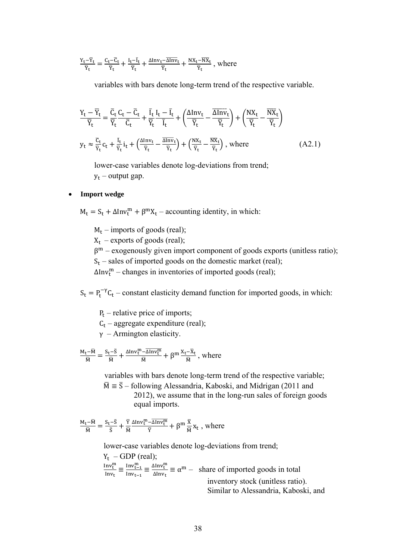$$
\tfrac{Y_t-\overline{Y}_t}{\overline{Y}_t} = \tfrac{C_t-\overline{C}_t}{\overline{Y}_t} + \tfrac{I_t-\overline{I}_t}{\overline{Y}_t} + \tfrac{\Delta Inv_t-\overline{\Delta Inv}_t}{\overline{Y}_t} + \tfrac{NX_t-\overline{NX}_t}{\overline{Y}_t} \ , \ where
$$

variables with bars denote long-term trend of the respective variable.

$$
\frac{Y_t - \overline{Y}_t}{\overline{Y}_t} = \frac{\overline{C}_t}{\overline{Y}_t} \frac{C_t - \overline{C}_t}{\overline{C}_t} + \frac{\overline{I}_t}{\overline{Y}_t} \frac{I_t - \overline{I}_t}{\overline{I}_t} + \left(\frac{\Delta \text{Inv}_t}{\overline{Y}_t} - \frac{\overline{\Delta \text{Inv}}_t}{\overline{Y}_t}\right) + \left(\frac{NX_t}{\overline{Y}_t} - \frac{\overline{NX}_t}{\overline{Y}_t}\right)
$$
  

$$
y_t \approx \frac{\overline{C}_t}{\overline{Y}_t} c_t + \frac{\overline{I}_t}{\overline{Y}_t} i_t + \left(\frac{\Delta \text{Inv}_t}{\overline{Y}_t} - \frac{\overline{\Delta \text{Inv}}_t}{\overline{Y}_t}\right) + \left(\frac{NX_t}{\overline{Y}_t} - \frac{\overline{NX}_t}{\overline{Y}_t}\right), \text{ where } (A2.1)
$$

lower-case variables denote log-deviations from trend;  $y_t$  – output gap.

#### **Import wedge**

 $M_t = S_t + \Delta Inv_t^m + \beta^m X_t$  – accounting identity, in which:

 $M_t$  – imports of goods (real);

 $X_t$  – exports of goods (real);

 $β<sup>m</sup> – exogenously given import component of goods exports (unitless ratio);$ 

 $S_t$  – sales of imported goods on the domestic market (real);

∆Inv<sub>t</sub><sup>m</sup> – changes in inventories of imported goods (real);

 $S_t = P_t^{-\gamma} C_t$  – constant elasticity demand function for imported goods, in which:

 $P_t$  – relative price of imports;

 $C_t$  – aggregate expenditure (real);

 $y$  – Armington elasticity.

$$
\tfrac{M_t-\overline{M}}{\overline{M}}=\tfrac{S_t-\overline{S}}{\overline{M}}+\tfrac{\Delta Inv^\text{m}_t-\overline{\Delta Inv^\text{m}_t}}{\overline{M}}+\beta^\text{m}\tfrac{X_t-\overline{X}_t}{\overline{M}}\,,\,\text{where}\,\,
$$

 variables with bars denote long-term trend of the respective variable;  $\overline{M} = \overline{S}$  – following Alessandria, Kaboski, and Midrigan (2011 and 2012), we assume that in the long-run sales of foreign goods equal imports.

$$
\tfrac{M_t-\overline{M}}{\overline{M}}=\tfrac{S_t-\overline{S}}{\overline{S}}+\tfrac{\overline{Y}}{\overline{M}}\tfrac{\Delta Inv^\text{m}_t-\overline{\Delta Inv^\text{m}_t}}{\overline{Y}}+\beta^\text{m}\tfrac{\overline{X}}{\overline{M}}x_t\;,\text{ where}\;
$$

lower-case variables denote log-deviations from trend;

 $Y_t$  – GDP (real);  $Inv_t^m$  $\frac{\text{Inv}_{t}^{m}}{\text{Inv}_{t}} \equiv \frac{\text{Inv}_{t-1}^{m}}{\text{Inv}_{t-1}}$  $\frac{\text{Inv}_{t-1}^m}{\text{Inv}_{t-1}} \equiv \frac{\Delta \text{Inv}_{t}^m}{\Delta \text{Inv}_{t}}$  $\frac{\Delta \ln v_{\text{t}}}{\Delta \ln v_{\text{t}}} \equiv \alpha^{\text{m}} - \text{ share of imported goods in total}$ inventory stock (unitless ratio). Similar to Alessandria, Kaboski, and